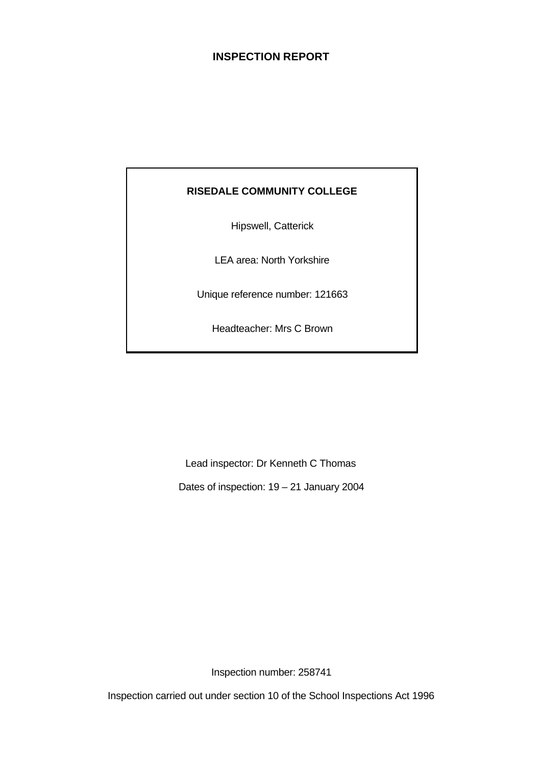## **INSPECTION REPORT**

# **RISEDALE COMMUNITY COLLEGE**

Hipswell, Catterick

LEA area: North Yorkshire

Unique reference number: 121663

Headteacher: Mrs C Brown

Lead inspector: Dr Kenneth C Thomas

Dates of inspection: 19 – 21 January 2004

Inspection number: 258741

Inspection carried out under section 10 of the School Inspections Act 1996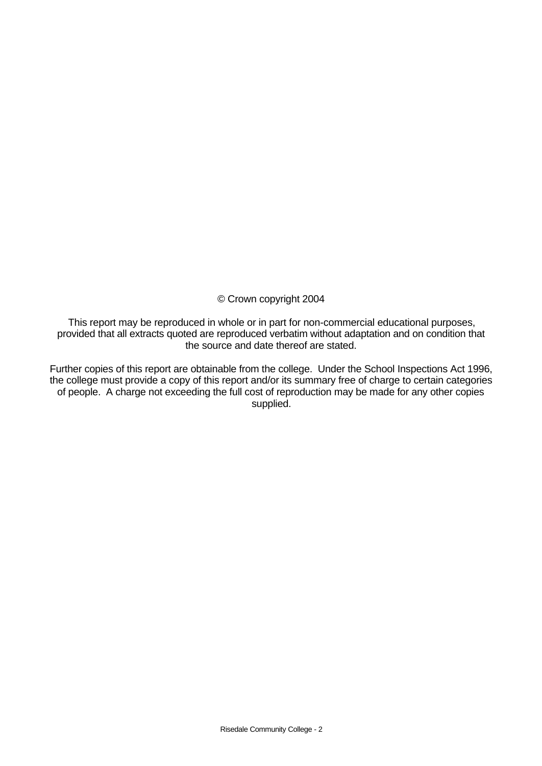© Crown copyright 2004

This report may be reproduced in whole or in part for non-commercial educational purposes, provided that all extracts quoted are reproduced verbatim without adaptation and on condition that the source and date thereof are stated.

Further copies of this report are obtainable from the college. Under the School Inspections Act 1996, the college must provide a copy of this report and/or its summary free of charge to certain categories of people. A charge not exceeding the full cost of reproduction may be made for any other copies supplied.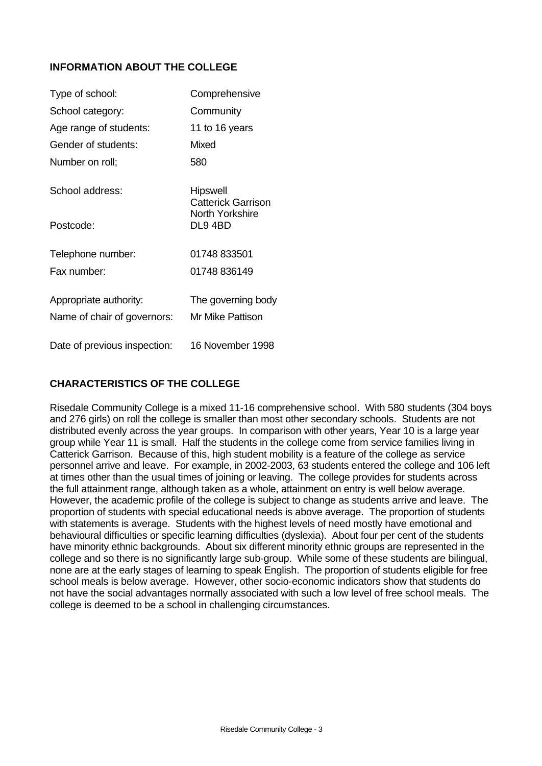## **INFORMATION ABOUT THE COLLEGE**

| Type of school:              | Comprehensive                         |
|------------------------------|---------------------------------------|
| School category:             | Community                             |
| Age range of students:       | 11 to 16 years                        |
| Gender of students:          | Mixed                                 |
| Number on roll;              | 580                                   |
| School address:              | <b>Hipswell</b><br>Catterick Garrison |
| Postcode:                    | North Yorkshire<br>DL94BD             |
| Telephone number:            | 01748 833501                          |
| Fax number:                  | 01748 836149                          |
| Appropriate authority:       | The governing body                    |
| Name of chair of governors:  | Mr Mike Pattison                      |
| Date of previous inspection: | 16 November 1998                      |

# **CHARACTERISTICS OF THE COLLEGE**

Risedale Community College is a mixed 11-16 comprehensive school. With 580 students (304 boys and 276 girls) on roll the college is smaller than most other secondary schools. Students are not distributed evenly across the year groups. In comparison with other years, Year 10 is a large year group while Year 11 is small. Half the students in the college come from service families living in Catterick Garrison. Because of this, high student mobility is a feature of the college as service personnel arrive and leave. For example, in 2002-2003, 63 students entered the college and 106 left at times other than the usual times of joining or leaving. The college provides for students across the full attainment range, although taken as a whole, attainment on entry is well below average. However, the academic profile of the college is subject to change as students arrive and leave. The proportion of students with special educational needs is above average. The proportion of students with statements is average. Students with the highest levels of need mostly have emotional and behavioural difficulties or specific learning difficulties (dyslexia). About four per cent of the students have minority ethnic backgrounds. About six different minority ethnic groups are represented in the college and so there is no significantly large sub-group. While some of these students are bilingual, none are at the early stages of learning to speak English. The proportion of students eligible for free school meals is below average. However, other socio-economic indicators show that students do not have the social advantages normally associated with such a low level of free school meals. The college is deemed to be a school in challenging circumstances.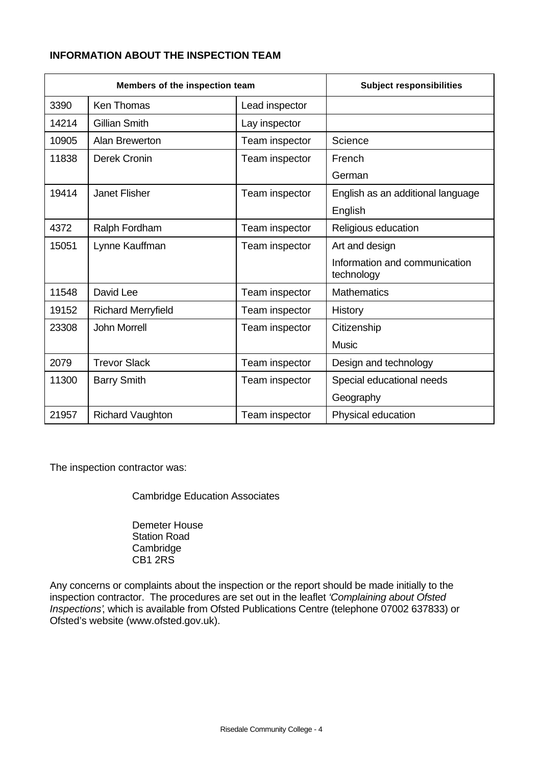## **INFORMATION ABOUT THE INSPECTION TEAM**

| Members of the inspection team |                           | <b>Subject responsibilities</b> |                                             |
|--------------------------------|---------------------------|---------------------------------|---------------------------------------------|
| 3390                           | <b>Ken Thomas</b>         | Lead inspector                  |                                             |
| 14214                          | <b>Gillian Smith</b>      | Lay inspector                   |                                             |
| 10905                          | Alan Brewerton            | Team inspector                  | Science                                     |
| 11838                          | Derek Cronin              | Team inspector                  | French                                      |
|                                |                           |                                 | German                                      |
| 19414                          | <b>Janet Flisher</b>      | Team inspector                  | English as an additional language           |
|                                |                           |                                 | English                                     |
| 4372                           | Ralph Fordham             | Team inspector                  | Religious education                         |
| 15051                          | Lynne Kauffman            | Team inspector                  | Art and design                              |
|                                |                           |                                 | Information and communication<br>technology |
| 11548                          | David Lee                 | Team inspector                  | <b>Mathematics</b>                          |
| 19152                          | <b>Richard Merryfield</b> | Team inspector                  | History                                     |
| 23308                          | <b>John Morrell</b>       | Team inspector                  | Citizenship                                 |
|                                |                           |                                 | <b>Music</b>                                |
| 2079                           | <b>Trevor Slack</b>       | Team inspector                  | Design and technology                       |
| 11300                          | <b>Barry Smith</b>        | Team inspector                  | Special educational needs                   |
|                                |                           |                                 | Geography                                   |
| 21957                          | <b>Richard Vaughton</b>   | Team inspector                  | Physical education                          |

The inspection contractor was:

Cambridge Education Associates

Demeter House Station Road Cambridge CB1 2RS

Any concerns or complaints about the inspection or the report should be made initially to the inspection contractor. The procedures are set out in the leaflet *'Complaining about Ofsted Inspections'*, which is available from Ofsted Publications Centre (telephone 07002 637833) or Ofsted's website (www.ofsted.gov.uk).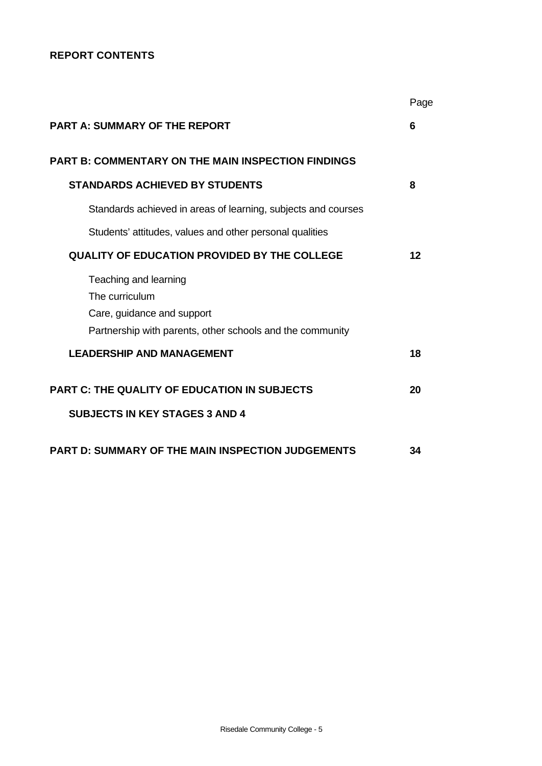## **REPORT CONTENTS**

|                                                               | Page |
|---------------------------------------------------------------|------|
| <b>PART A: SUMMARY OF THE REPORT</b>                          | 6    |
| <b>PART B: COMMENTARY ON THE MAIN INSPECTION FINDINGS</b>     |      |
| <b>STANDARDS ACHIEVED BY STUDENTS</b>                         | 8    |
| Standards achieved in areas of learning, subjects and courses |      |
| Students' attitudes, values and other personal qualities      |      |
| <b>QUALITY OF EDUCATION PROVIDED BY THE COLLEGE</b>           | 12   |
| Teaching and learning                                         |      |
| The curriculum                                                |      |
| Care, guidance and support                                    |      |
| Partnership with parents, other schools and the community     |      |
| <b>LEADERSHIP AND MANAGEMENT</b>                              | 18   |
| <b>PART C: THE QUALITY OF EDUCATION IN SUBJECTS</b>           | 20   |
| <b>SUBJECTS IN KEY STAGES 3 AND 4</b>                         |      |
| PART D: SUMMARY OF THE MAIN INSPECTION JUDGEMENTS             | 34   |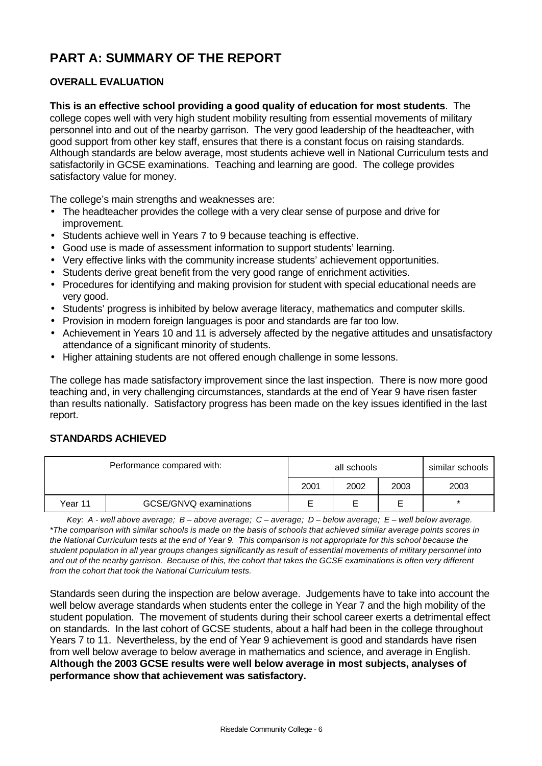# **PART A: SUMMARY OF THE REPORT**

## **OVERALL EVALUATION**

**This is an effective school providing a good quality of education for most students**. The college copes well with very high student mobility resulting from essential movements of military personnel into and out of the nearby garrison. The very good leadership of the headteacher, with good support from other key staff, ensures that there is a constant focus on raising standards. Although standards are below average, most students achieve well in National Curriculum tests and satisfactorily in GCSE examinations. Teaching and learning are good. The college provides satisfactory value for money.

The college's main strengths and weaknesses are:

- The headteacher provides the college with a very clear sense of purpose and drive for improvement.
- Students achieve well in Years 7 to 9 because teaching is effective.
- Good use is made of assessment information to support students' learning.
- Very effective links with the community increase students' achievement opportunities.
- Students derive great benefit from the very good range of enrichment activities.
- Procedures for identifying and making provision for student with special educational needs are very good.
- Students' progress is inhibited by below average literacy, mathematics and computer skills.
- Provision in modern foreign languages is poor and standards are far too low.
- Achievement in Years 10 and 11 is adversely affected by the negative attitudes and unsatisfactory attendance of a significant minority of students.
- Higher attaining students are not offered enough challenge in some lessons.

The college has made satisfactory improvement since the last inspection. There is now more good teaching and, in very challenging circumstances, standards at the end of Year 9 have risen faster than results nationally. Satisfactory progress has been made on the key issues identified in the last report.

## **STANDARDS ACHIEVED**

|         |                        | all schools |      | similar schools |      |
|---------|------------------------|-------------|------|-----------------|------|
|         |                        | 2001        | 2002 | 2003            | 2003 |
| Year 11 | GCSE/GNVQ examinations |             |      |                 |      |

*Key: A - well above average; B – above average; C – average; D – below average; E – well below average. \*The comparison with similar schools is made on the basis of schools that achieved similar average points scores in the National Curriculum tests at the end of Year 9. This comparison is not appropriate for this school because the student population in all year groups changes significantly as result of essential movements of military personnel into and out of the nearby garrison. Because of this, the cohort that takes the GCSE examinations is often very different from the cohort that took the National Curriculum tests.*

Standards seen during the inspection are below average. Judgements have to take into account the well below average standards when students enter the college in Year 7 and the high mobility of the student population. The movement of students during their school career exerts a detrimental effect on standards. In the last cohort of GCSE students, about a half had been in the college throughout Years 7 to 11. Nevertheless, by the end of Year 9 achievement is good and standards have risen from well below average to below average in mathematics and science, and average in English. **Although the 2003 GCSE results were well below average in most subjects, analyses of performance show that achievement was satisfactory.**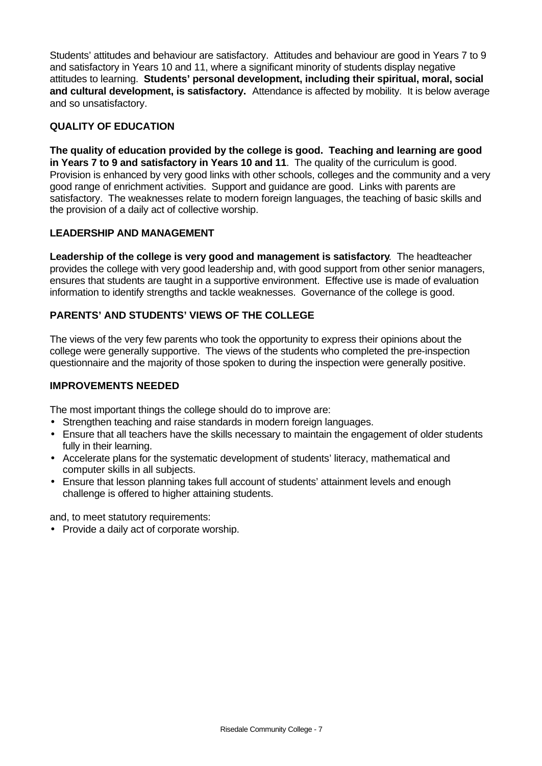Students' attitudes and behaviour are satisfactory. Attitudes and behaviour are good in Years 7 to 9 and satisfactory in Years 10 and 11, where a significant minority of students display negative attitudes to learning. **Students' personal development, including their spiritual, moral, social and cultural development, is satisfactory.** Attendance is affected by mobility. It is below average and so unsatisfactory.

## **QUALITY OF EDUCATION**

**The quality of education provided by the college is good. Teaching and learning are good in Years 7 to 9 and satisfactory in Years 10 and 11**. The quality of the curriculum is good. Provision is enhanced by very good links with other schools, colleges and the community and a very good range of enrichment activities. Support and guidance are good. Links with parents are satisfactory. The weaknesses relate to modern foreign languages, the teaching of basic skills and the provision of a daily act of collective worship.

## **LEADERSHIP AND MANAGEMENT**

**Leadership of the college is very good and management is satisfactory**. The headteacher provides the college with very good leadership and, with good support from other senior managers, ensures that students are taught in a supportive environment. Effective use is made of evaluation information to identify strengths and tackle weaknesses. Governance of the college is good.

## **PARENTS' AND STUDENTS' VIEWS OF THE COLLEGE**

The views of the very few parents who took the opportunity to express their opinions about the college were generally supportive. The views of the students who completed the pre-inspection questionnaire and the majority of those spoken to during the inspection were generally positive.

## **IMPROVEMENTS NEEDED**

The most important things the college should do to improve are:

- Strengthen teaching and raise standards in modern foreign languages.
- Ensure that all teachers have the skills necessary to maintain the engagement of older students fully in their learning.
- Accelerate plans for the systematic development of students' literacy, mathematical and computer skills in all subjects.
- Ensure that lesson planning takes full account of students' attainment levels and enough challenge is offered to higher attaining students.

and, to meet statutory requirements:

• Provide a daily act of corporate worship.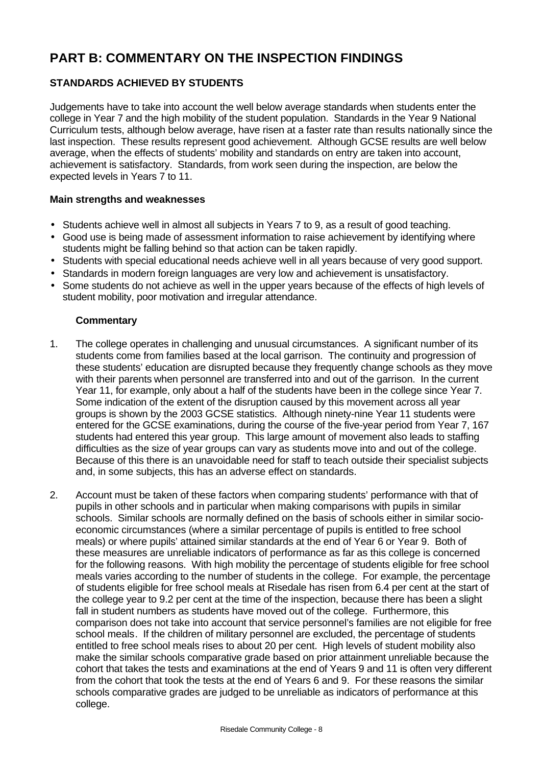# **PART B: COMMENTARY ON THE INSPECTION FINDINGS**

# **STANDARDS ACHIEVED BY STUDENTS**

Judgements have to take into account the well below average standards when students enter the college in Year 7 and the high mobility of the student population. Standards in the Year 9 National Curriculum tests, although below average, have risen at a faster rate than results nationally since the last inspection. These results represent good achievement. Although GCSE results are well below average, when the effects of students' mobility and standards on entry are taken into account, achievement is satisfactory. Standards, from work seen during the inspection, are below the expected levels in Years 7 to 11.

### **Main strengths and weaknesses**

- Students achieve well in almost all subjects in Years 7 to 9, as a result of good teaching.
- Good use is being made of assessment information to raise achievement by identifying where students might be falling behind so that action can be taken rapidly.
- Students with special educational needs achieve well in all years because of very good support.
- Standards in modern foreign languages are very low and achievement is unsatisfactory.
- Some students do not achieve as well in the upper years because of the effects of high levels of student mobility, poor motivation and irregular attendance.

- 1. The college operates in challenging and unusual circumstances. A significant number of its students come from families based at the local garrison. The continuity and progression of these students' education are disrupted because they frequently change schools as they move with their parents when personnel are transferred into and out of the garrison. In the current Year 11, for example, only about a half of the students have been in the college since Year 7. Some indication of the extent of the disruption caused by this movement across all year groups is shown by the 2003 GCSE statistics. Although ninety-nine Year 11 students were entered for the GCSE examinations, during the course of the five-year period from Year 7, 167 students had entered this year group. This large amount of movement also leads to staffing difficulties as the size of year groups can vary as students move into and out of the college. Because of this there is an unavoidable need for staff to teach outside their specialist subjects and, in some subjects, this has an adverse effect on standards.
- 2. Account must be taken of these factors when comparing students' performance with that of pupils in other schools and in particular when making comparisons with pupils in similar schools. Similar schools are normally defined on the basis of schools either in similar socioeconomic circumstances (where a similar percentage of pupils is entitled to free school meals) or where pupils' attained similar standards at the end of Year 6 or Year 9. Both of these measures are unreliable indicators of performance as far as this college is concerned for the following reasons. With high mobility the percentage of students eligible for free school meals varies according to the number of students in the college. For example, the percentage of students eligible for free school meals at Risedale has risen from 6.4 per cent at the start of the college year to 9.2 per cent at the time of the inspection, because there has been a slight fall in student numbers as students have moved out of the college. Furthermore, this comparison does not take into account that service personnel's families are not eligible for free school meals. If the children of military personnel are excluded, the percentage of students entitled to free school meals rises to about 20 per cent. High levels of student mobility also make the similar schools comparative grade based on prior attainment unreliable because the cohort that takes the tests and examinations at the end of Years 9 and 11 is often very different from the cohort that took the tests at the end of Years 6 and 9. For these reasons the similar schools comparative grades are judged to be unreliable as indicators of performance at this college.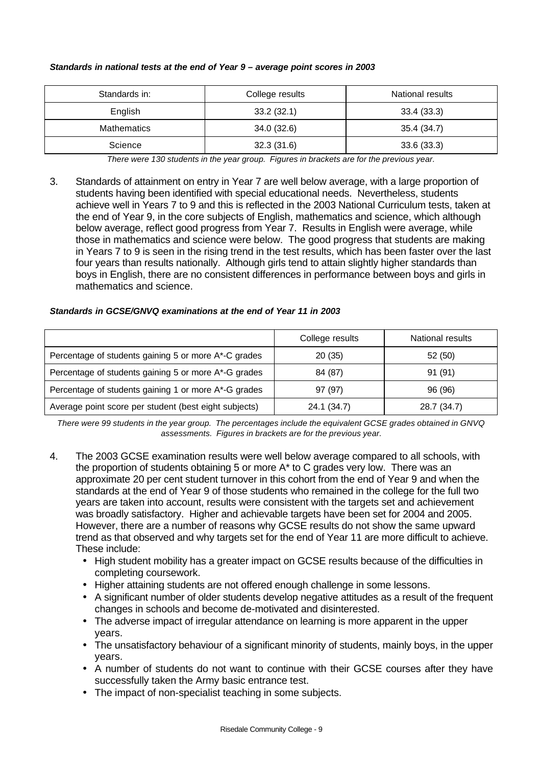| Standards in:      | College results | National results |
|--------------------|-----------------|------------------|
| English            | 33.2(32.1)      | 33.4(33.3)       |
| <b>Mathematics</b> | 34.0(32.6)      | 35.4 (34.7)      |
| Science            | 32.3(31.6)      | 33.6(33.3)       |

#### *Standards in national tests at the end of Year 9 – average point scores in 2003*

*There were 130 students in the year group. Figures in brackets are for the previous year.*

3. Standards of attainment on entry in Year 7 are well below average, with a large proportion of students having been identified with special educational needs. Nevertheless, students achieve well in Years 7 to 9 and this is reflected in the 2003 National Curriculum tests, taken at the end of Year 9, in the core subjects of English, mathematics and science, which although below average, reflect good progress from Year 7. Results in English were average, while those in mathematics and science were below. The good progress that students are making in Years 7 to 9 is seen in the rising trend in the test results, which has been faster over the last four years than results nationally. Although girls tend to attain slightly higher standards than boys in English, there are no consistent differences in performance between boys and girls in mathematics and science.

#### *Standards in GCSE/GNVQ examinations at the end of Year 11 in 2003*

|                                                       | College results | National results |
|-------------------------------------------------------|-----------------|------------------|
| Percentage of students gaining 5 or more A*-C grades  | 20(35)          | 52(50)           |
| Percentage of students gaining 5 or more A*-G grades  | 84 (87)         | 91 (91)          |
| Percentage of students gaining 1 or more A*-G grades  | 97 (97)         | 96 (96)          |
| Average point score per student (best eight subjects) | 24.1 (34.7)     | 28.7 (34.7)      |

*There were 99 students in the year group. The percentages include the equivalent GCSE grades obtained in GNVQ assessments. Figures in brackets are for the previous year.*

- 4. The 2003 GCSE examination results were well below average compared to all schools, with the proportion of students obtaining 5 or more A\* to C grades very low. There was an approximate 20 per cent student turnover in this cohort from the end of Year 9 and when the standards at the end of Year 9 of those students who remained in the college for the full two years are taken into account, results were consistent with the targets set and achievement was broadly satisfactory. Higher and achievable targets have been set for 2004 and 2005. However, there are a number of reasons why GCSE results do not show the same upward trend as that observed and why targets set for the end of Year 11 are more difficult to achieve. These include:
	- High student mobility has a greater impact on GCSE results because of the difficulties in completing coursework.
	- Higher attaining students are not offered enough challenge in some lessons.
	- A significant number of older students develop negative attitudes as a result of the frequent changes in schools and become de-motivated and disinterested.
	- The adverse impact of irregular attendance on learning is more apparent in the upper years.
	- The unsatisfactory behaviour of a significant minority of students, mainly boys, in the upper years.
	- A number of students do not want to continue with their GCSE courses after they have successfully taken the Army basic entrance test.
	- The impact of non-specialist teaching in some subjects.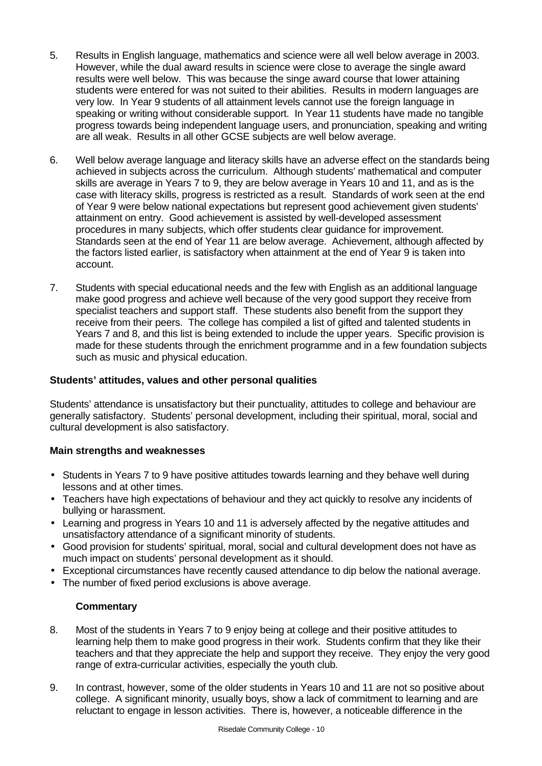- 5. Results in English language, mathematics and science were all well below average in 2003. However, while the dual award results in science were close to average the single award results were well below. This was because the singe award course that lower attaining students were entered for was not suited to their abilities. Results in modern languages are very low. In Year 9 students of all attainment levels cannot use the foreign language in speaking or writing without considerable support. In Year 11 students have made no tangible progress towards being independent language users, and pronunciation, speaking and writing are all weak. Results in all other GCSE subjects are well below average.
- 6. Well below average language and literacy skills have an adverse effect on the standards being achieved in subjects across the curriculum. Although students' mathematical and computer skills are average in Years 7 to 9, they are below average in Years 10 and 11, and as is the case with literacy skills, progress is restricted as a result. Standards of work seen at the end of Year 9 were below national expectations but represent good achievement given students' attainment on entry. Good achievement is assisted by well-developed assessment procedures in many subjects, which offer students clear guidance for improvement. Standards seen at the end of Year 11 are below average. Achievement, although affected by the factors listed earlier, is satisfactory when attainment at the end of Year 9 is taken into account.
- 7. Students with special educational needs and the few with English as an additional language make good progress and achieve well because of the very good support they receive from specialist teachers and support staff. These students also benefit from the support they receive from their peers. The college has compiled a list of gifted and talented students in Years 7 and 8, and this list is being extended to include the upper years. Specific provision is made for these students through the enrichment programme and in a few foundation subjects such as music and physical education.

## **Students' attitudes, values and other personal qualities**

Students' attendance is unsatisfactory but their punctuality, attitudes to college and behaviour are generally satisfactory. Students' personal development, including their spiritual, moral, social and cultural development is also satisfactory.

### **Main strengths and weaknesses**

- Students in Years 7 to 9 have positive attitudes towards learning and they behave well during lessons and at other times.
- Teachers have high expectations of behaviour and they act quickly to resolve any incidents of bullying or harassment.
- Learning and progress in Years 10 and 11 is adversely affected by the negative attitudes and unsatisfactory attendance of a significant minority of students.
- Good provision for students' spiritual, moral, social and cultural development does not have as much impact on students' personal development as it should.
- Exceptional circumstances have recently caused attendance to dip below the national average.
- The number of fixed period exclusions is above average.

- 8. Most of the students in Years 7 to 9 enjoy being at college and their positive attitudes to learning help them to make good progress in their work. Students confirm that they like their teachers and that they appreciate the help and support they receive. They enjoy the very good range of extra-curricular activities, especially the youth club*.*
- 9. In contrast, however, some of the older students in Years 10 and 11 are not so positive about college. A significant minority, usually boys, show a lack of commitment to learning and are reluctant to engage in lesson activities. There is, however, a noticeable difference in the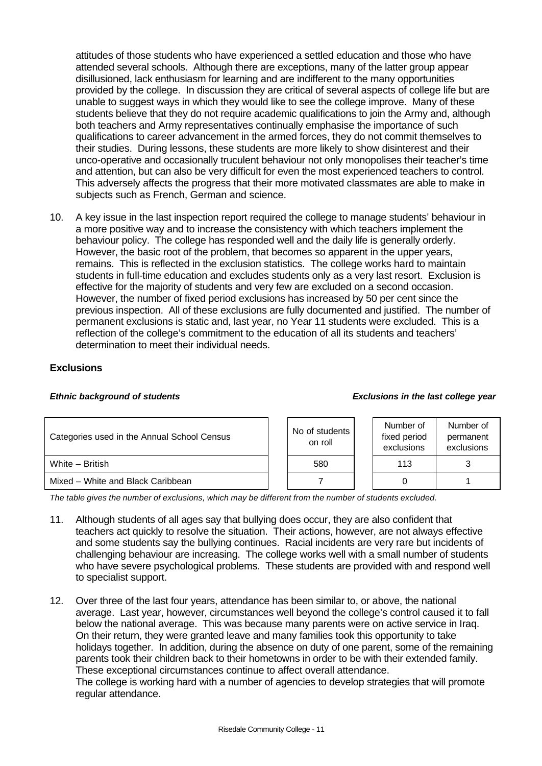attitudes of those students who have experienced a settled education and those who have attended several schools. Although there are exceptions, many of the latter group appear disillusioned, lack enthusiasm for learning and are indifferent to the many opportunities provided by the college. In discussion they are critical of several aspects of college life but are unable to suggest ways in which they would like to see the college improve. Many of these students believe that they do not require academic qualifications to join the Army and, although both teachers and Army representatives continually emphasise the importance of such qualifications to career advancement in the armed forces, they do not commit themselves to their studies. During lessons, these students are more likely to show disinterest and their unco-operative and occasionally truculent behaviour not only monopolises their teacher's time and attention, but can also be very difficult for even the most experienced teachers to control. This adversely affects the progress that their more motivated classmates are able to make in subjects such as French, German and science.

10. A key issue in the last inspection report required the college to manage students' behaviour in a more positive way and to increase the consistency with which teachers implement the behaviour policy. The college has responded well and the daily life is generally orderly. However, the basic root of the problem, that becomes so apparent in the upper years, remains. This is reflected in the exclusion statistics. The college works hard to maintain students in full-time education and excludes students only as a very last resort. Exclusion is effective for the majority of students and very few are excluded on a second occasion. However, the number of fixed period exclusions has increased by 50 per cent since the previous inspection. All of these exclusions are fully documented and justified. The number of permanent exclusions is static and, last year, no Year 11 students were excluded. This is a reflection of the college's commitment to the education of all its students and teachers' determination to meet their individual needs.

## **Exclusions**

#### *Ethnic background of students Exclusions in the last college year*

| Categories used in the Annual School Census |  | No of students<br>on roll |  | Number of<br>fixed period<br>exclusions | Number of<br>permanent<br>exclusions |
|---------------------------------------------|--|---------------------------|--|-----------------------------------------|--------------------------------------|
| White - British                             |  | 580                       |  | 113                                     |                                      |
| Mixed - White and Black Caribbean           |  |                           |  |                                         |                                      |

*The table gives the number of exclusions, which may be different from the number of students excluded.*

- 11. Although students of all ages say that bullying does occur, they are also confident that teachers act quickly to resolve the situation. Their actions, however, are not always effective and some students say the bullying continues. Racial incidents are very rare but incidents of challenging behaviour are increasing. The college works well with a small number of students who have severe psychological problems. These students are provided with and respond well to specialist support.
- 12. Over three of the last four years, attendance has been similar to, or above, the national average. Last year, however, circumstances well beyond the college's control caused it to fall below the national average. This was because many parents were on active service in Iraq. On their return, they were granted leave and many families took this opportunity to take holidays together. In addition, during the absence on duty of one parent, some of the remaining parents took their children back to their hometowns in order to be with their extended family. These exceptional circumstances continue to affect overall attendance. The college is working hard with a number of agencies to develop strategies that will promote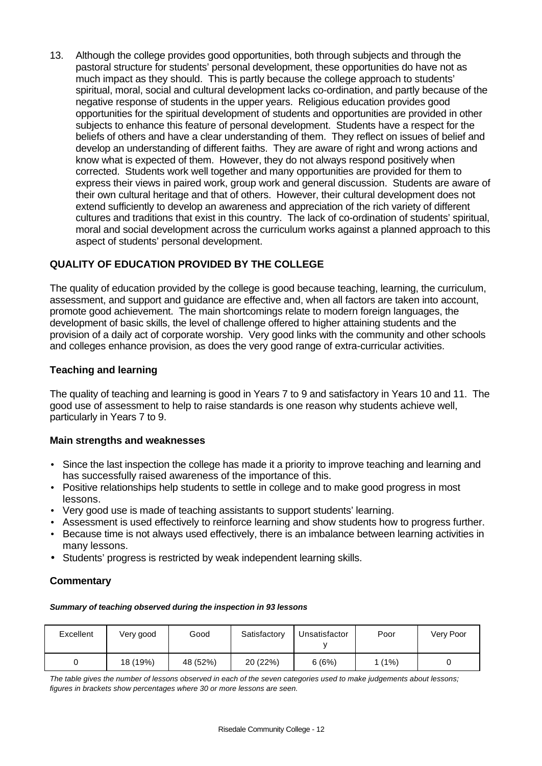13. Although the college provides good opportunities, both through subjects and through the pastoral structure for students' personal development, these opportunities do have not as much impact as they should. This is partly because the college approach to students' spiritual, moral, social and cultural development lacks co-ordination, and partly because of the negative response of students in the upper years. Religious education provides good opportunities for the spiritual development of students and opportunities are provided in other subjects to enhance this feature of personal development. Students have a respect for the beliefs of others and have a clear understanding of them. They reflect on issues of belief and develop an understanding of different faiths. They are aware of right and wrong actions and know what is expected of them. However, they do not always respond positively when corrected. Students work well together and many opportunities are provided for them to express their views in paired work, group work and general discussion. Students are aware of their own cultural heritage and that of others. However, their cultural development does not extend sufficiently to develop an awareness and appreciation of the rich variety of different cultures and traditions that exist in this country. The lack of co-ordination of students' spiritual, moral and social development across the curriculum works against a planned approach to this aspect of students' personal development.

## **QUALITY OF EDUCATION PROVIDED BY THE COLLEGE**

The quality of education provided by the college is good because teaching, learning, the curriculum, assessment, and support and guidance are effective and, when all factors are taken into account, promote good achievement. The main shortcomings relate to modern foreign languages, the development of basic skills, the level of challenge offered to higher attaining students and the provision of a daily act of corporate worship. Very good links with the community and other schools and colleges enhance provision, as does the very good range of extra-curricular activities.

## **Teaching and learning**

The quality of teaching and learning is good in Years 7 to 9 and satisfactory in Years 10 and 11. The good use of assessment to help to raise standards is one reason why students achieve well, particularly in Years 7 to 9.

### **Main strengths and weaknesses**

- Since the last inspection the college has made it a priority to improve teaching and learning and has successfully raised awareness of the importance of this.
- Positive relationships help students to settle in college and to make good progress in most lessons.
- Very good use is made of teaching assistants to support students' learning.
- Assessment is used effectively to reinforce learning and show students how to progress further.
- Because time is not always used effectively, there is an imbalance between learning activities in many lessons.
- Students' progress is restricted by weak independent learning skills.

### **Commentary**

#### *Summary of teaching observed during the inspection in 93 lessons*

| Excellent | Very good | Good     | Satisfactory | Unsatisfactor | Poor | Very Poor |
|-----------|-----------|----------|--------------|---------------|------|-----------|
|           | 18 (19%)  | 48 (52%) | 20 (22%)     | 6(6%)         | (1%) |           |

*The table gives the number of lessons observed in each of the seven categories used to make judgements about lessons; figures in brackets show percentages where 30 or more lessons are seen.*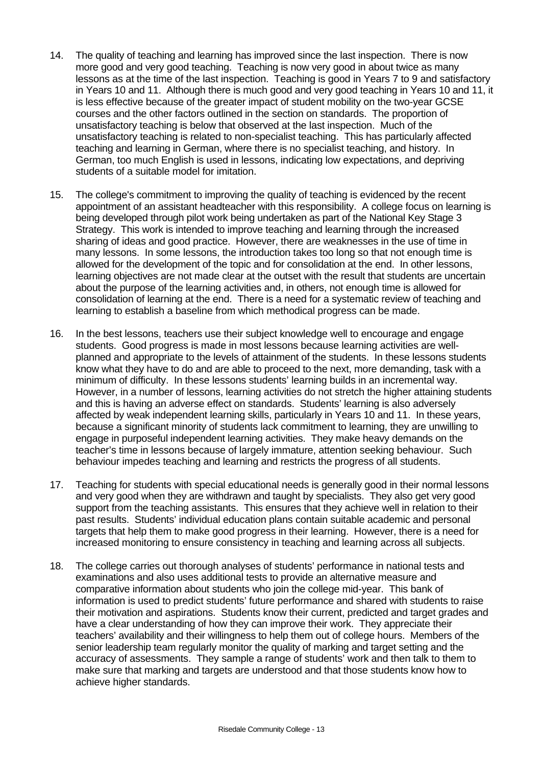- 14. The quality of teaching and learning has improved since the last inspection. There is now more good and very good teaching. Teaching is now very good in about twice as many lessons as at the time of the last inspection. Teaching is good in Years 7 to 9 and satisfactory in Years 10 and 11. Although there is much good and very good teaching in Years 10 and 11, it is less effective because of the greater impact of student mobility on the two-year GCSE courses and the other factors outlined in the section on standards. The proportion of unsatisfactory teaching is below that observed at the last inspection. Much of the unsatisfactory teaching is related to non-specialist teaching. This has particularly affected teaching and learning in German, where there is no specialist teaching, and history. In German, too much English is used in lessons, indicating low expectations, and depriving students of a suitable model for imitation.
- 15. The college's commitment to improving the quality of teaching is evidenced by the recent appointment of an assistant headteacher with this responsibility. A college focus on learning is being developed through pilot work being undertaken as part of the National Key Stage 3 Strategy. This work is intended to improve teaching and learning through the increased sharing of ideas and good practice. However, there are weaknesses in the use of time in many lessons. In some lessons, the introduction takes too long so that not enough time is allowed for the development of the topic and for consolidation at the end. In other lessons, learning objectives are not made clear at the outset with the result that students are uncertain about the purpose of the learning activities and, in others, not enough time is allowed for consolidation of learning at the end. There is a need for a systematic review of teaching and learning to establish a baseline from which methodical progress can be made.
- 16. In the best lessons, teachers use their subject knowledge well to encourage and engage students. Good progress is made in most lessons because learning activities are wellplanned and appropriate to the levels of attainment of the students. In these lessons students know what they have to do and are able to proceed to the next, more demanding, task with a minimum of difficulty. In these lessons students' learning builds in an incremental way. However, in a number of lessons, learning activities do not stretch the higher attaining students and this is having an adverse effect on standards. Students' learning is also adversely affected by weak independent learning skills, particularly in Years 10 and 11. In these years, because a significant minority of students lack commitment to learning, they are unwilling to engage in purposeful independent learning activities. They make heavy demands on the teacher's time in lessons because of largely immature, attention seeking behaviour. Such behaviour impedes teaching and learning and restricts the progress of all students.
- 17. Teaching for students with special educational needs is generally good in their normal lessons and very good when they are withdrawn and taught by specialists. They also get very good support from the teaching assistants. This ensures that they achieve well in relation to their past results. Students' individual education plans contain suitable academic and personal targets that help them to make good progress in their learning. However, there is a need for increased monitoring to ensure consistency in teaching and learning across all subjects.
- 18. The college carries out thorough analyses of students' performance in national tests and examinations and also uses additional tests to provide an alternative measure and comparative information about students who join the college mid-year. This bank of information is used to predict students' future performance and shared with students to raise their motivation and aspirations. Students know their current, predicted and target grades and have a clear understanding of how they can improve their work. They appreciate their teachers' availability and their willingness to help them out of college hours. Members of the senior leadership team regularly monitor the quality of marking and target setting and the accuracy of assessments. They sample a range of students' work and then talk to them to make sure that marking and targets are understood and that those students know how to achieve higher standards.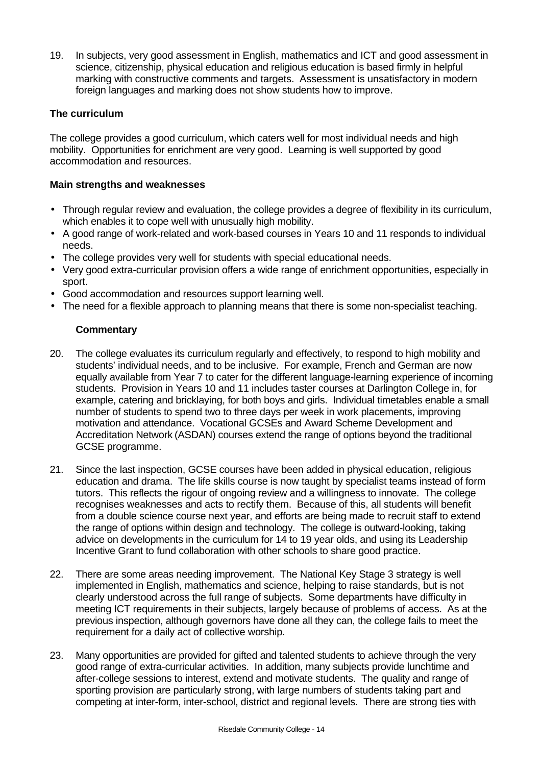19. In subjects, very good assessment in English, mathematics and ICT and good assessment in science, citizenship, physical education and religious education is based firmly in helpful marking with constructive comments and targets. Assessment is unsatisfactory in modern foreign languages and marking does not show students how to improve.

# **The curriculum**

The college provides a good curriculum, which caters well for most individual needs and high mobility. Opportunities for enrichment are very good. Learning is well supported by good accommodation and resources.

## **Main strengths and weaknesses**

- Through regular review and evaluation, the college provides a degree of flexibility in its curriculum, which enables it to cope well with unusually high mobility.
- A good range of work-related and work-based courses in Years 10 and 11 responds to individual needs.
- The college provides very well for students with special educational needs.
- Very good extra-curricular provision offers a wide range of enrichment opportunities, especially in sport.
- Good accommodation and resources support learning well.
- The need for a flexible approach to planning means that there is some non-specialist teaching.

- 20. The college evaluates its curriculum regularly and effectively, to respond to high mobility and students' individual needs, and to be inclusive. For example, French and German are now equally available from Year 7 to cater for the different language-learning experience of incoming students. Provision in Years 10 and 11 includes taster courses at Darlington College in, for example, catering and bricklaying, for both boys and girls. Individual timetables enable a small number of students to spend two to three days per week in work placements, improving motivation and attendance. Vocational GCSEs and Award Scheme Development and Accreditation Network (ASDAN) courses extend the range of options beyond the traditional GCSE programme.
- 21. Since the last inspection, GCSE courses have been added in physical education, religious education and drama. The life skills course is now taught by specialist teams instead of form tutors. This reflects the rigour of ongoing review and a willingness to innovate. The college recognises weaknesses and acts to rectify them. Because of this, all students will benefit from a double science course next year, and efforts are being made to recruit staff to extend the range of options within design and technology. The college is outward-looking, taking advice on developments in the curriculum for 14 to 19 year olds, and using its Leadership Incentive Grant to fund collaboration with other schools to share good practice.
- 22. There are some areas needing improvement. The National Key Stage 3 strategy is well implemented in English, mathematics and science, helping to raise standards, but is not clearly understood across the full range of subjects. Some departments have difficulty in meeting ICT requirements in their subjects, largely because of problems of access. As at the previous inspection, although governors have done all they can, the college fails to meet the requirement for a daily act of collective worship.
- 23. Many opportunities are provided for gifted and talented students to achieve through the very good range of extra-curricular activities. In addition, many subjects provide lunchtime and after-college sessions to interest, extend and motivate students. The quality and range of sporting provision are particularly strong, with large numbers of students taking part and competing at inter-form, inter-school, district and regional levels. There are strong ties with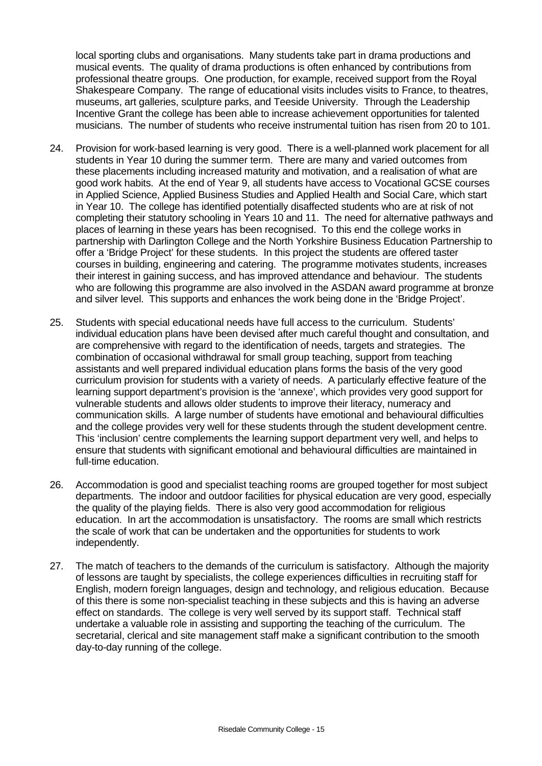local sporting clubs and organisations. Many students take part in drama productions and musical events. The quality of drama productions is often enhanced by contributions from professional theatre groups. One production, for example, received support from the Royal Shakespeare Company. The range of educational visits includes visits to France, to theatres, museums, art galleries, sculpture parks, and Teeside University. Through the Leadership Incentive Grant the college has been able to increase achievement opportunities for talented musicians. The number of students who receive instrumental tuition has risen from 20 to 101.

- 24. Provision for work-based learning is very good. There is a well-planned work placement for all students in Year 10 during the summer term. There are many and varied outcomes from these placements including increased maturity and motivation, and a realisation of what are good work habits. At the end of Year 9, all students have access to Vocational GCSE courses in Applied Science, Applied Business Studies and Applied Health and Social Care, which start in Year 10. The college has identified potentially disaffected students who are at risk of not completing their statutory schooling in Years 10 and 11. The need for alternative pathways and places of learning in these years has been recognised. To this end the college works in partnership with Darlington College and the North Yorkshire Business Education Partnership to offer a 'Bridge Project' for these students. In this project the students are offered taster courses in building, engineering and catering. The programme motivates students, increases their interest in gaining success, and has improved attendance and behaviour. The students who are following this programme are also involved in the ASDAN award programme at bronze and silver level. This supports and enhances the work being done in the 'Bridge Project'.
- 25. Students with special educational needs have full access to the curriculum. Students' individual education plans have been devised after much careful thought and consultation, and are comprehensive with regard to the identification of needs, targets and strategies. The combination of occasional withdrawal for small group teaching, support from teaching assistants and well prepared individual education plans forms the basis of the very good curriculum provision for students with a variety of needs. A particularly effective feature of the learning support department's provision is the 'annexe', which provides very good support for vulnerable students and allows older students to improve their literacy, numeracy and communication skills. A large number of students have emotional and behavioural difficulties and the college provides very well for these students through the student development centre. This 'inclusion' centre complements the learning support department very well, and helps to ensure that students with significant emotional and behavioural difficulties are maintained in full-time education.
- 26. Accommodation is good and specialist teaching rooms are grouped together for most subject departments. The indoor and outdoor facilities for physical education are very good, especially the quality of the playing fields. There is also very good accommodation for religious education. In art the accommodation is unsatisfactory. The rooms are small which restricts the scale of work that can be undertaken and the opportunities for students to work independently.
- 27. The match of teachers to the demands of the curriculum is satisfactory. Although the majority of lessons are taught by specialists, the college experiences difficulties in recruiting staff for English, modern foreign languages, design and technology, and religious education. Because of this there is some non-specialist teaching in these subjects and this is having an adverse effect on standards. The college is very well served by its support staff. Technical staff undertake a valuable role in assisting and supporting the teaching of the curriculum. The secretarial, clerical and site management staff make a significant contribution to the smooth day-to-day running of the college.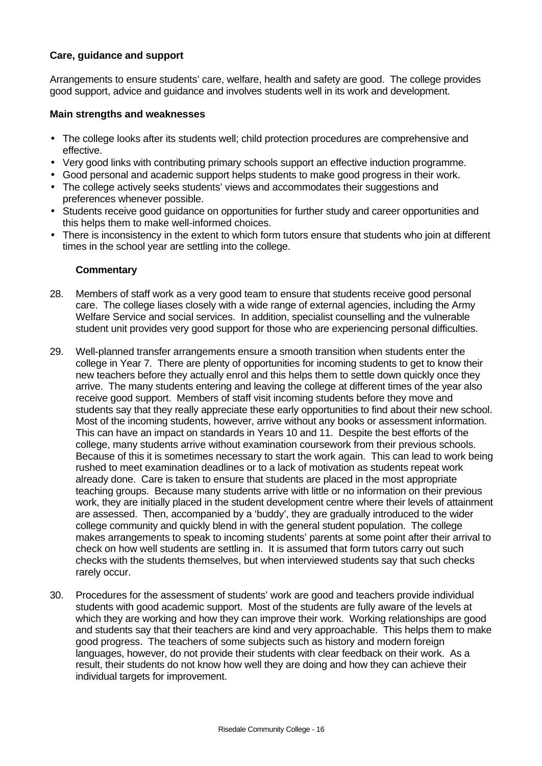## **Care, guidance and support**

Arrangements to ensure students' care, welfare, health and safety are good. The college provides good support, advice and guidance and involves students well in its work and development.

#### **Main strengths and weaknesses**

- The college looks after its students well; child protection procedures are comprehensive and effective.
- Very good links with contributing primary schools support an effective induction programme.
- Good personal and academic support helps students to make good progress in their work.
- The college actively seeks students' views and accommodates their suggestions and preferences whenever possible.
- Students receive good guidance on opportunities for further study and career opportunities and this helps them to make well-informed choices.
- There is inconsistency in the extent to which form tutors ensure that students who join at different times in the school year are settling into the college.

- 28. Members of staff work as a very good team to ensure that students receive good personal care. The college liases closely with a wide range of external agencies, including the Army Welfare Service and social services. In addition, specialist counselling and the vulnerable student unit provides very good support for those who are experiencing personal difficulties.
- 29. Well-planned transfer arrangements ensure a smooth transition when students enter the college in Year 7. There are plenty of opportunities for incoming students to get to know their new teachers before they actually enrol and this helps them to settle down quickly once they arrive. The many students entering and leaving the college at different times of the year also receive good support. Members of staff visit incoming students before they move and students say that they really appreciate these early opportunities to find about their new school. Most of the incoming students, however, arrive without any books or assessment information. This can have an impact on standards in Years 10 and 11. Despite the best efforts of the college, many students arrive without examination coursework from their previous schools. Because of this it is sometimes necessary to start the work again. This can lead to work being rushed to meet examination deadlines or to a lack of motivation as students repeat work already done. Care is taken to ensure that students are placed in the most appropriate teaching groups. Because many students arrive with little or no information on their previous work, they are initially placed in the student development centre where their levels of attainment are assessed. Then, accompanied by a 'buddy', they are gradually introduced to the wider college community and quickly blend in with the general student population. The college makes arrangements to speak to incoming students' parents at some point after their arrival to check on how well students are settling in. It is assumed that form tutors carry out such checks with the students themselves, but when interviewed students say that such checks rarely occur.
- 30. Procedures for the assessment of students' work are good and teachers provide individual students with good academic support. Most of the students are fully aware of the levels at which they are working and how they can improve their work. Working relationships are good and students say that their teachers are kind and very approachable. This helps them to make good progress. The teachers of some subjects such as history and modern foreign languages, however, do not provide their students with clear feedback on their work. As a result, their students do not know how well they are doing and how they can achieve their individual targets for improvement.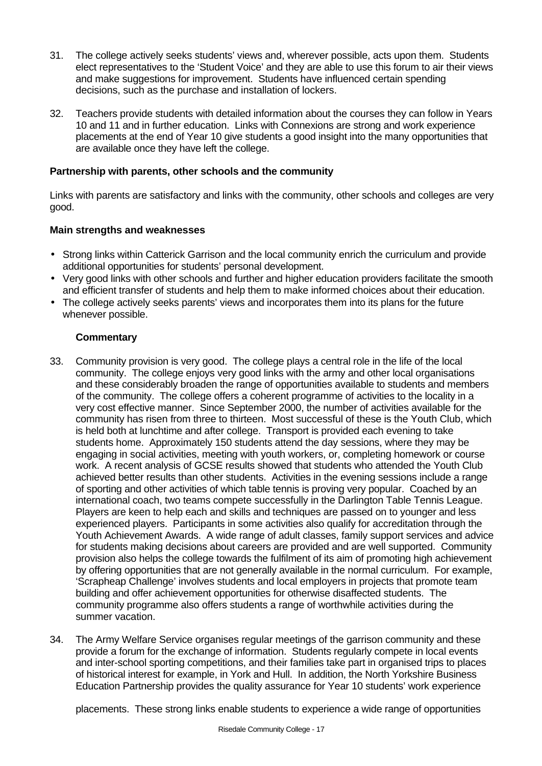- 31. The college actively seeks students' views and, wherever possible, acts upon them. Students elect representatives to the 'Student Voice' and they are able to use this forum to air their views and make suggestions for improvement. Students have influenced certain spending decisions, such as the purchase and installation of lockers.
- 32. Teachers provide students with detailed information about the courses they can follow in Years 10 and 11 and in further education. Links with Connexions are strong and work experience placements at the end of Year 10 give students a good insight into the many opportunities that are available once they have left the college.

## **Partnership with parents, other schools and the community**

Links with parents are satisfactory and links with the community, other schools and colleges are very good.

## **Main strengths and weaknesses**

- Strong links within Catterick Garrison and the local community enrich the curriculum and provide additional opportunities for students' personal development.
- Very good links with other schools and further and higher education providers facilitate the smooth and efficient transfer of students and help them to make informed choices about their education.
- The college actively seeks parents' views and incorporates them into its plans for the future whenever possible.

## **Commentary**

- 33. Community provision is very good. The college plays a central role in the life of the local community. The college enjoys very good links with the army and other local organisations and these considerably broaden the range of opportunities available to students and members of the community. The college offers a coherent programme of activities to the locality in a very cost effective manner. Since September 2000, the number of activities available for the community has risen from three to thirteen. Most successful of these is the Youth Club, which is held both at lunchtime and after college. Transport is provided each evening to take students home. Approximately 150 students attend the day sessions, where they may be engaging in social activities, meeting with youth workers, or, completing homework or course work. A recent analysis of GCSE results showed that students who attended the Youth Club achieved better results than other students. Activities in the evening sessions include a range of sporting and other activities of which table tennis is proving very popular. Coached by an international coach, two teams compete successfully in the Darlington Table Tennis League. Players are keen to help each and skills and techniques are passed on to younger and less experienced players. Participants in some activities also qualify for accreditation through the Youth Achievement Awards. A wide range of adult classes, family support services and advice for students making decisions about careers are provided and are well supported. Community provision also helps the college towards the fulfilment of its aim of promoting high achievement by offering opportunities that are not generally available in the normal curriculum. For example, 'Scrapheap Challenge' involves students and local employers in projects that promote team building and offer achievement opportunities for otherwise disaffected students. The community programme also offers students a range of worthwhile activities during the summer vacation.
- 34. The Army Welfare Service organises regular meetings of the garrison community and these provide a forum for the exchange of information. Students regularly compete in local events and inter-school sporting competitions, and their families take part in organised trips to places of historical interest for example, in York and Hull. In addition, the North Yorkshire Business Education Partnership provides the quality assurance for Year 10 students' work experience

placements. These strong links enable students to experience a wide range of opportunities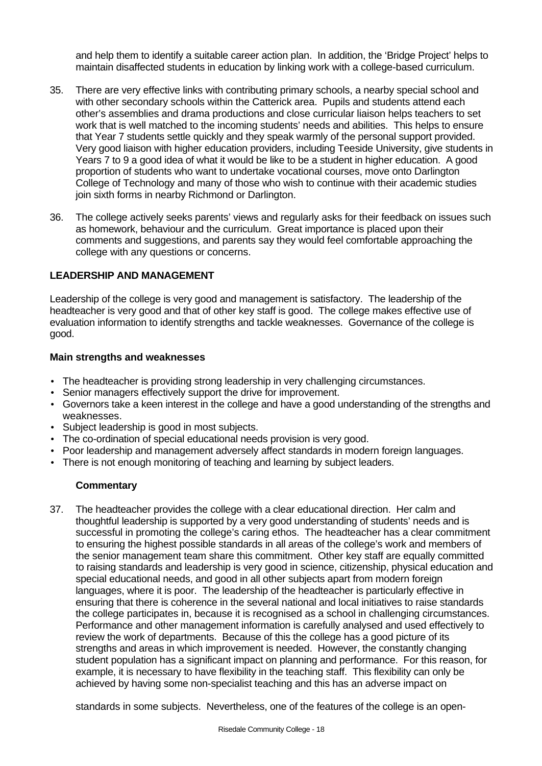and help them to identify a suitable career action plan. In addition, the 'Bridge Project' helps to maintain disaffected students in education by linking work with a college-based curriculum.

- 35. There are very effective links with contributing primary schools, a nearby special school and with other secondary schools within the Catterick area. Pupils and students attend each other's assemblies and drama productions and close curricular liaison helps teachers to set work that is well matched to the incoming students' needs and abilities. This helps to ensure that Year 7 students settle quickly and they speak warmly of the personal support provided. Very good liaison with higher education providers, including Teeside University, give students in Years 7 to 9 a good idea of what it would be like to be a student in higher education. A good proportion of students who want to undertake vocational courses, move onto Darlington College of Technology and many of those who wish to continue with their academic studies join sixth forms in nearby Richmond or Darlington.
- 36. The college actively seeks parents' views and regularly asks for their feedback on issues such as homework, behaviour and the curriculum. Great importance is placed upon their comments and suggestions, and parents say they would feel comfortable approaching the college with any questions or concerns.

#### **LEADERSHIP AND MANAGEMENT**

Leadership of the college is very good and management is satisfactory. The leadership of the headteacher is very good and that of other key staff is good. The college makes effective use of evaluation information to identify strengths and tackle weaknesses. Governance of the college is good.

#### **Main strengths and weaknesses**

- The headteacher is providing strong leadership in very challenging circumstances.
- Senior managers effectively support the drive for improvement.
- Governors take a keen interest in the college and have a good understanding of the strengths and weaknesses.
- Subject leadership is good in most subjects.
- The co-ordination of special educational needs provision is very good.
- Poor leadership and management adversely affect standards in modern foreign languages.
- There is not enough monitoring of teaching and learning by subject leaders.

### **Commentary**

37. The headteacher provides the college with a clear educational direction. Her calm and thoughtful leadership is supported by a very good understanding of students' needs and is successful in promoting the college's caring ethos. The headteacher has a clear commitment to ensuring the highest possible standards in all areas of the college's work and members of the senior management team share this commitment. Other key staff are equally committed to raising standards and leadership is very good in science, citizenship, physical education and special educational needs, and good in all other subjects apart from modern foreign languages, where it is poor. The leadership of the headteacher is particularly effective in ensuring that there is coherence in the several national and local initiatives to raise standards the college participates in, because it is recognised as a school in challenging circumstances. Performance and other management information is carefully analysed and used effectively to review the work of departments. Because of this the college has a good picture of its strengths and areas in which improvement is needed. However, the constantly changing student population has a significant impact on planning and performance. For this reason, for example, it is necessary to have flexibility in the teaching staff. This flexibility can only be achieved by having some non-specialist teaching and this has an adverse impact on

standards in some subjects. Nevertheless, one of the features of the college is an open-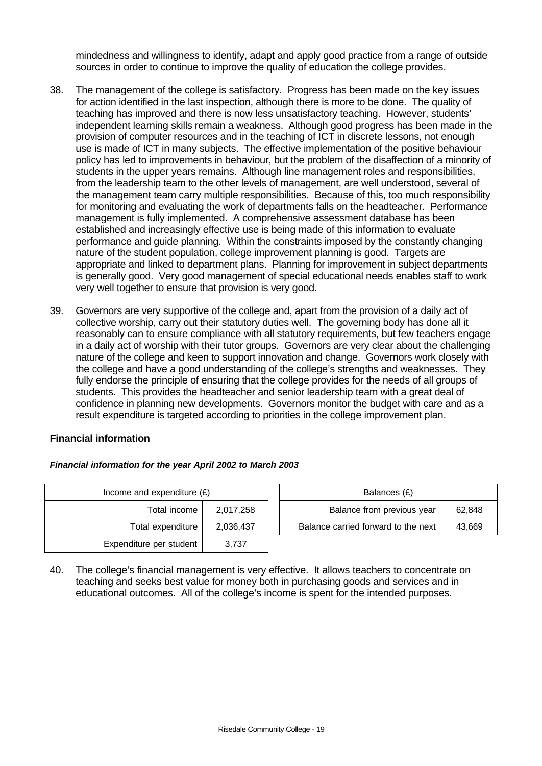mindedness and willingness to identify, adapt and apply good practice from a range of outside sources in order to continue to improve the quality of education the college provides.

- 38. The management of the college is satisfactory. Progress has been made on the key issues for action identified in the last inspection, although there is more to be done. The quality of teaching has improved and there is now less unsatisfactory teaching. However, students' independent learning skills remain a weakness. Although good progress has been made in the provision of computer resources and in the teaching of ICT in discrete lessons, not enough use is made of ICT in many subjects. The effective implementation of the positive behaviour policy has led to improvements in behaviour, but the problem of the disaffection of a minority of students in the upper years remains. Although line management roles and responsibilities, from the leadership team to the other levels of management, are well understood, several of the management team carry multiple responsibilities. Because of this, too much responsibility for monitoring and evaluating the work of departments falls on the headteacher. Performance management is fully implemented. A comprehensive assessment database has been established and increasingly effective use is being made of this information to evaluate performance and guide planning. Within the constraints imposed by the constantly changing nature of the student population, college improvement planning is good. Targets are appropriate and linked to department plans. Planning for improvement in subject departments is generally good. Very good management of special educational needs enables staff to work very well together to ensure that provision is very good.
- 39. Governors are very supportive of the college and, apart from the provision of a daily act of collective worship, carry out their statutory duties well. The governing body has done all it reasonably can to ensure compliance with all statutory requirements, but few teachers engage in a daily act of worship with their tutor groups. Governors are very clear about the challenging nature of the college and keen to support innovation and change. Governors work closely with the college and have a good understanding of the college's strengths and weaknesses. They fully endorse the principle of ensuring that the college provides for the needs of all groups of students. This provides the headteacher and senior leadership team with a great deal of confidence in planning new developments. Governors monitor the budget with care and as a result expenditure is targeted according to priorities in the college improvement plan.

### **Financial information**

| Balances (£)                   | Income and expenditure $(E)$ |                         |  |  |
|--------------------------------|------------------------------|-------------------------|--|--|
| Balance from previous          | 2,017,258                    | Total income            |  |  |
| Balance carried forward to the | 2,036,437                    | Total expenditure       |  |  |
|                                | 3.737                        | Expenditure per student |  |  |

| and expenditure (£) |           | Balances (£)               |                                     |        |
|---------------------|-----------|----------------------------|-------------------------------------|--------|
| Total income        | 2,017,258 | Balance from previous year |                                     | 62.848 |
| Total expenditure   | 2,036,437 |                            | Balance carried forward to the next | 43.669 |

40. The college's financial management is very effective. It allows teachers to concentrate on teaching and seeks best value for money both in purchasing goods and services and in educational outcomes. All of the college's income is spent for the intended purposes.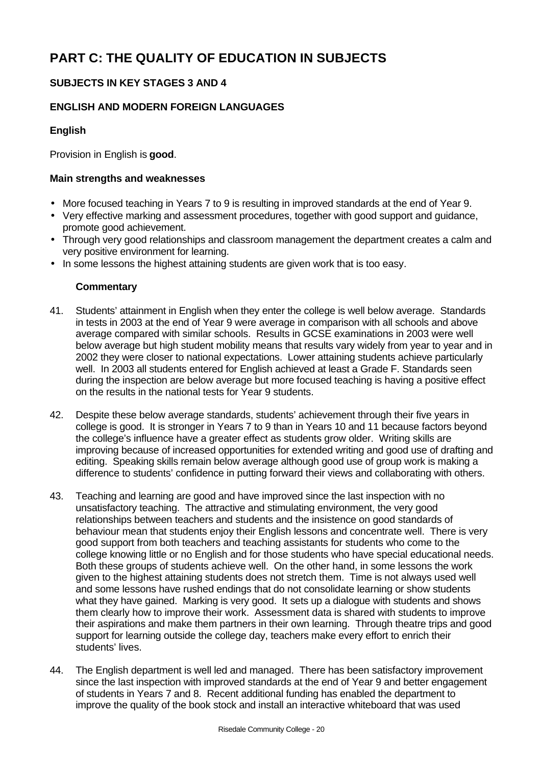# **PART C: THE QUALITY OF EDUCATION IN SUBJECTS**

# **SUBJECTS IN KEY STAGES 3 AND 4**

# **ENGLISH AND MODERN FOREIGN LANGUAGES**

## **English**

Provision in English is **good**.

## **Main strengths and weaknesses**

- More focused teaching in Years 7 to 9 is resulting in improved standards at the end of Year 9.
- Very effective marking and assessment procedures, together with good support and guidance, promote good achievement.
- Through very good relationships and classroom management the department creates a calm and very positive environment for learning.
- In some lessons the highest attaining students are given work that is too easy.

- 41. Students' attainment in English when they enter the college is well below average. Standards in tests in 2003 at the end of Year 9 were average in comparison with all schools and above average compared with similar schools. Results in GCSE examinations in 2003 were well below average but high student mobility means that results vary widely from year to year and in 2002 they were closer to national expectations. Lower attaining students achieve particularly well. In 2003 all students entered for English achieved at least a Grade F. Standards seen during the inspection are below average but more focused teaching is having a positive effect on the results in the national tests for Year 9 students.
- 42. Despite these below average standards, students' achievement through their five years in college is good. It is stronger in Years 7 to 9 than in Years 10 and 11 because factors beyond the college's influence have a greater effect as students grow older. Writing skills are improving because of increased opportunities for extended writing and good use of drafting and editing. Speaking skills remain below average although good use of group work is making a difference to students' confidence in putting forward their views and collaborating with others.
- 43. Teaching and learning are good and have improved since the last inspection with no unsatisfactory teaching. The attractive and stimulating environment, the very good relationships between teachers and students and the insistence on good standards of behaviour mean that students enjoy their English lessons and concentrate well. There is very good support from both teachers and teaching assistants for students who come to the college knowing little or no English and for those students who have special educational needs. Both these groups of students achieve well. On the other hand, in some lessons the work given to the highest attaining students does not stretch them. Time is not always used well and some lessons have rushed endings that do not consolidate learning or show students what they have gained. Marking is very good. It sets up a dialogue with students and shows them clearly how to improve their work. Assessment data is shared with students to improve their aspirations and make them partners in their own learning. Through theatre trips and good support for learning outside the college day, teachers make every effort to enrich their students' lives.
- 44. The English department is well led and managed. There has been satisfactory improvement since the last inspection with improved standards at the end of Year 9 and better engagement of students in Years 7 and 8. Recent additional funding has enabled the department to improve the quality of the book stock and install an interactive whiteboard that was used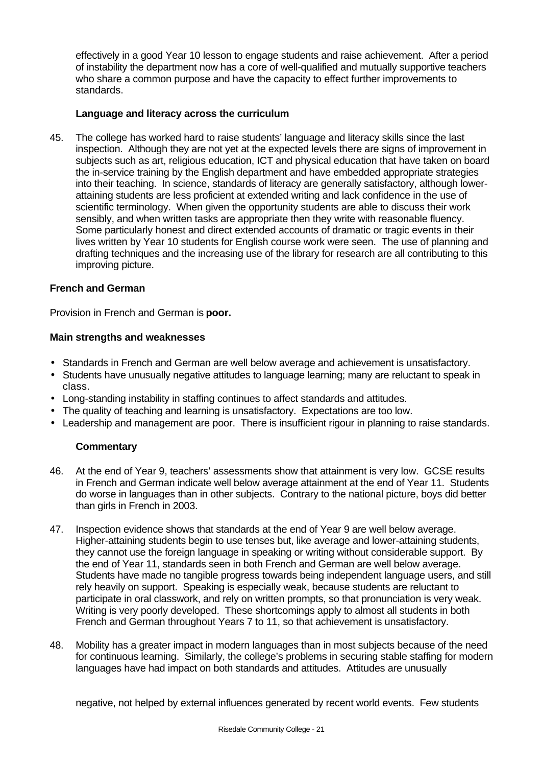effectively in a good Year 10 lesson to engage students and raise achievement. After a period of instability the department now has a core of well-qualified and mutually supportive teachers who share a common purpose and have the capacity to effect further improvements to standards.

## **Language and literacy across the curriculum**

45. The college has worked hard to raise students' language and literacy skills since the last inspection. Although they are not yet at the expected levels there are signs of improvement in subjects such as art, religious education, ICT and physical education that have taken on board the in-service training by the English department and have embedded appropriate strategies into their teaching. In science, standards of literacy are generally satisfactory, although lowerattaining students are less proficient at extended writing and lack confidence in the use of scientific terminology. When given the opportunity students are able to discuss their work sensibly, and when written tasks are appropriate then they write with reasonable fluency. Some particularly honest and direct extended accounts of dramatic or tragic events in their lives written by Year 10 students for English course work were seen. The use of planning and drafting techniques and the increasing use of the library for research are all contributing to this improving picture.

### **French and German**

Provision in French and German is **poor.**

## **Main strengths and weaknesses**

- Standards in French and German are well below average and achievement is unsatisfactory.
- Students have unusually negative attitudes to language learning; many are reluctant to speak in class.
- Long-standing instability in staffing continues to affect standards and attitudes.
- The quality of teaching and learning is unsatisfactory. Expectations are too low.
- Leadership and management are poor. There is insufficient rigour in planning to raise standards.

## **Commentary**

- 46. At the end of Year 9, teachers' assessments show that attainment is very low. GCSE results in French and German indicate well below average attainment at the end of Year 11. Students do worse in languages than in other subjects. Contrary to the national picture, boys did better than girls in French in 2003.
- 47. Inspection evidence shows that standards at the end of Year 9 are well below average. Higher-attaining students begin to use tenses but, like average and lower-attaining students, they cannot use the foreign language in speaking or writing without considerable support. By the end of Year 11, standards seen in both French and German are well below average. Students have made no tangible progress towards being independent language users, and still rely heavily on support. Speaking is especially weak, because students are reluctant to participate in oral classwork, and rely on written prompts, so that pronunciation is very weak. Writing is very poorly developed. These shortcomings apply to almost all students in both French and German throughout Years 7 to 11, so that achievement is unsatisfactory.
- 48. Mobility has a greater impact in modern languages than in most subjects because of the need for continuous learning. Similarly, the college's problems in securing stable staffing for modern languages have had impact on both standards and attitudes. Attitudes are unusually

negative, not helped by external influences generated by recent world events. Few students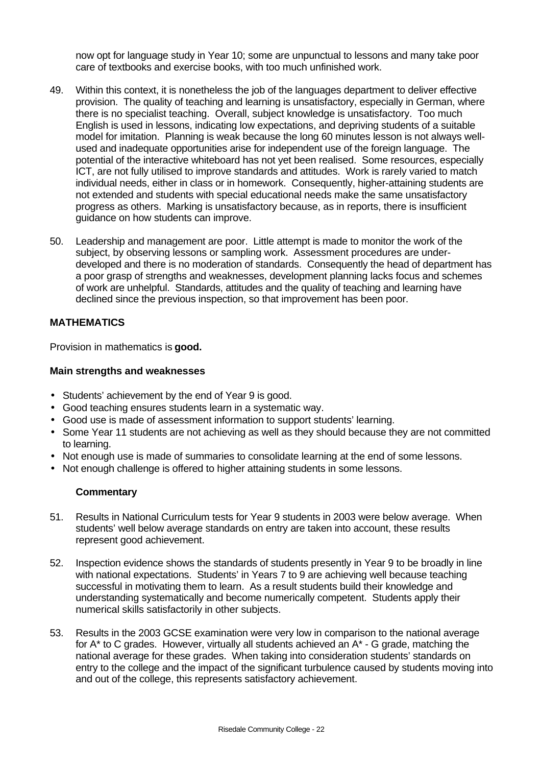now opt for language study in Year 10; some are unpunctual to lessons and many take poor care of textbooks and exercise books, with too much unfinished work.

- 49. Within this context, it is nonetheless the job of the languages department to deliver effective provision. The quality of teaching and learning is unsatisfactory, especially in German, where there is no specialist teaching. Overall, subject knowledge is unsatisfactory. Too much English is used in lessons, indicating low expectations, and depriving students of a suitable model for imitation. Planning is weak because the long 60 minutes lesson is not always wellused and inadequate opportunities arise for independent use of the foreign language. The potential of the interactive whiteboard has not yet been realised. Some resources, especially ICT, are not fully utilised to improve standards and attitudes. Work is rarely varied to match individual needs, either in class or in homework. Consequently, higher-attaining students are not extended and students with special educational needs make the same unsatisfactory progress as others. Marking is unsatisfactory because, as in reports, there is insufficient guidance on how students can improve.
- 50. Leadership and management are poor. Little attempt is made to monitor the work of the subject, by observing lessons or sampling work. Assessment procedures are underdeveloped and there is no moderation of standards. Consequently the head of department has a poor grasp of strengths and weaknesses, development planning lacks focus and schemes of work are unhelpful. Standards, attitudes and the quality of teaching and learning have declined since the previous inspection, so that improvement has been poor.

## **MATHEMATICS**

Provision in mathematics is **good.**

#### **Main strengths and weaknesses**

- Students' achievement by the end of Year 9 is good.
- Good teaching ensures students learn in a systematic way.
- Good use is made of assessment information to support students' learning.
- Some Year 11 students are not achieving as well as they should because they are not committed to learning.
- Not enough use is made of summaries to consolidate learning at the end of some lessons.
- Not enough challenge is offered to higher attaining students in some lessons.

- 51. Results in National Curriculum tests for Year 9 students in 2003 were below average. When students' well below average standards on entry are taken into account, these results represent good achievement.
- 52. Inspection evidence shows the standards of students presently in Year 9 to be broadly in line with national expectations. Students' in Years 7 to 9 are achieving well because teaching successful in motivating them to learn. As a result students build their knowledge and understanding systematically and become numerically competent. Students apply their numerical skills satisfactorily in other subjects.
- 53. Results in the 2003 GCSE examination were very low in comparison to the national average for A\* to C grades. However, virtually all students achieved an A\* - G grade, matching the national average for these grades. When taking into consideration students' standards on entry to the college and the impact of the significant turbulence caused by students moving into and out of the college, this represents satisfactory achievement.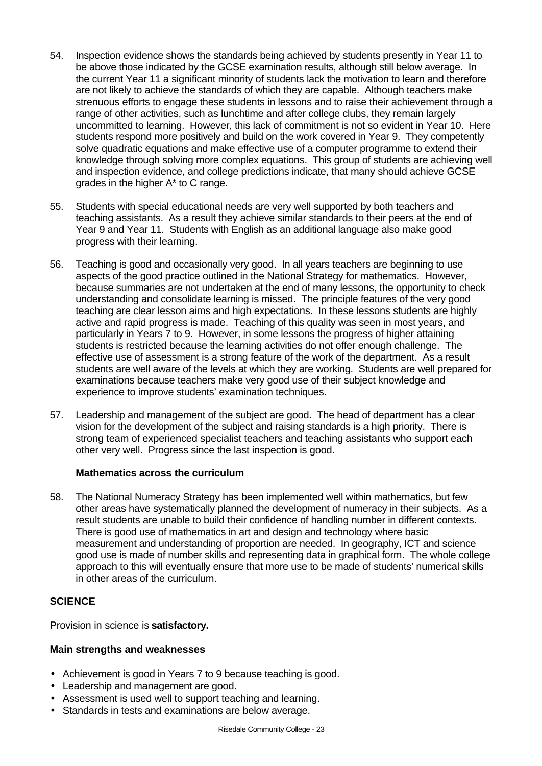- 54. Inspection evidence shows the standards being achieved by students presently in Year 11 to be above those indicated by the GCSE examination results, although still below average. In the current Year 11 a significant minority of students lack the motivation to learn and therefore are not likely to achieve the standards of which they are capable. Although teachers make strenuous efforts to engage these students in lessons and to raise their achievement through a range of other activities, such as lunchtime and after college clubs, they remain largely uncommitted to learning. However, this lack of commitment is not so evident in Year 10. Here students respond more positively and build on the work covered in Year 9. They competently solve quadratic equations and make effective use of a computer programme to extend their knowledge through solving more complex equations. This group of students are achieving well and inspection evidence, and college predictions indicate, that many should achieve GCSE grades in the higher A\* to C range.
- 55. Students with special educational needs are very well supported by both teachers and teaching assistants. As a result they achieve similar standards to their peers at the end of Year 9 and Year 11. Students with English as an additional language also make good progress with their learning.
- 56. Teaching is good and occasionally very good. In all years teachers are beginning to use aspects of the good practice outlined in the National Strategy for mathematics. However, because summaries are not undertaken at the end of many lessons, the opportunity to check understanding and consolidate learning is missed. The principle features of the very good teaching are clear lesson aims and high expectations. In these lessons students are highly active and rapid progress is made. Teaching of this quality was seen in most years, and particularly in Years 7 to 9. However, in some lessons the progress of higher attaining students is restricted because the learning activities do not offer enough challenge. The effective use of assessment is a strong feature of the work of the department. As a result students are well aware of the levels at which they are working. Students are well prepared for examinations because teachers make very good use of their subject knowledge and experience to improve students' examination techniques.
- 57. Leadership and management of the subject are good. The head of department has a clear vision for the development of the subject and raising standards is a high priority. There is strong team of experienced specialist teachers and teaching assistants who support each other very well. Progress since the last inspection is good.

### **Mathematics across the curriculum**

58. The National Numeracy Strategy has been implemented well within mathematics, but few other areas have systematically planned the development of numeracy in their subjects. As a result students are unable to build their confidence of handling number in different contexts. There is good use of mathematics in art and design and technology where basic measurement and understanding of proportion are needed. In geography, ICT and science good use is made of number skills and representing data in graphical form. The whole college approach to this will eventually ensure that more use to be made of students' numerical skills in other areas of the curriculum.

### **SCIENCE**

Provision in science is **satisfactory.**

### **Main strengths and weaknesses**

- Achievement is good in Years 7 to 9 because teaching is good.
- Leadership and management are good.
- Assessment is used well to support teaching and learning.
- Standards in tests and examinations are below average.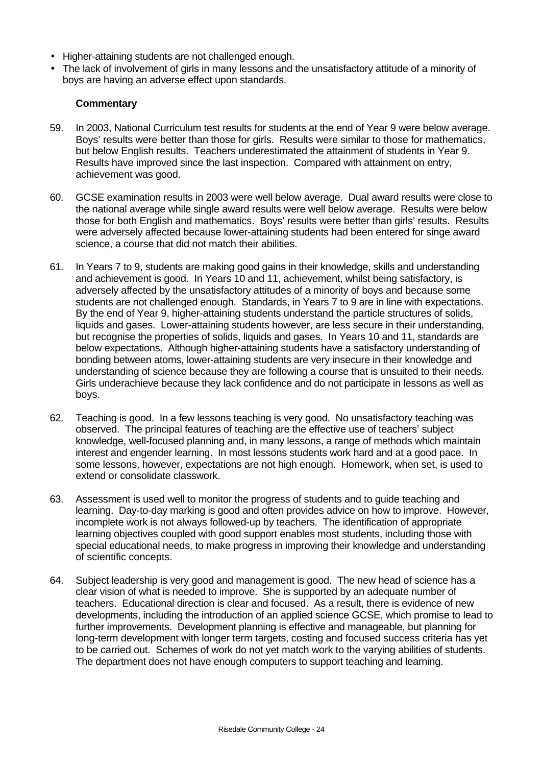- Higher-attaining students are not challenged enough.
- The lack of involvement of girls in many lessons and the unsatisfactory attitude of a minority of boys are having an adverse effect upon standards.

- 59. In 2003, National Curriculum test results for students at the end of Year 9 were below average. Boys' results were better than those for girls. Results were similar to those for mathematics, but below English results. Teachers underestimated the attainment of students in Year 9. Results have improved since the last inspection. Compared with attainment on entry, achievement was good.
- 60. GCSE examination results in 2003 were well below average. Dual award results were close to the national average while single award results were well below average. Results were below those for both English and mathematics. Boys' results were better than girls' results. Results were adversely affected because lower-attaining students had been entered for singe award science, a course that did not match their abilities.
- 61. In Years 7 to 9, students are making good gains in their knowledge, skills and understanding and achievement is good. In Years 10 and 11, achievement, whilst being satisfactory, is adversely affected by the unsatisfactory attitudes of a minority of boys and because some students are not challenged enough. Standards, in Years 7 to 9 are in line with expectations. By the end of Year 9, higher-attaining students understand the particle structures of solids, liquids and gases. Lower-attaining students however, are less secure in their understanding, but recognise the properties of solids, liquids and gases. In Years 10 and 11, standards are below expectations. Although higher-attaining students have a satisfactory understanding of bonding between atoms, lower-attaining students are very insecure in their knowledge and understanding of science because they are following a course that is unsuited to their needs. Girls underachieve because they lack confidence and do not participate in lessons as well as boys.
- 62. Teaching is good. In a few lessons teaching is very good. No unsatisfactory teaching was observed. The principal features of teaching are the effective use of teachers' subject knowledge, well-focused planning and, in many lessons, a range of methods which maintain interest and engender learning. In most lessons students work hard and at a good pace. In some lessons, however, expectations are not high enough. Homework, when set, is used to extend or consolidate classwork.
- 63. Assessment is used well to monitor the progress of students and to guide teaching and learning. Day-to-day marking is good and often provides advice on how to improve. However, incomplete work is not always followed-up by teachers. The identification of appropriate learning objectives coupled with good support enables most students, including those with special educational needs, to make progress in improving their knowledge and understanding of scientific concepts.
- 64. Subject leadership is very good and management is good. The new head of science has a clear vision of what is needed to improve. She is supported by an adequate number of teachers. Educational direction is clear and focused. As a result, there is evidence of new developments, including the introduction of an applied science GCSE, which promise to lead to further improvements. Development planning is effective and manageable, but planning for long-term development with longer term targets, costing and focused success criteria has yet to be carried out. Schemes of work do not yet match work to the varying abilities of students. The department does not have enough computers to support teaching and learning.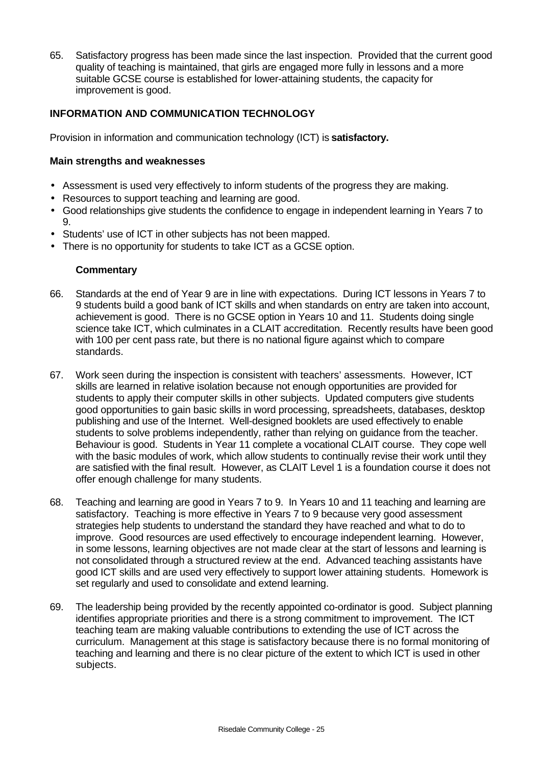65. Satisfactory progress has been made since the last inspection. Provided that the current good quality of teaching is maintained, that girls are engaged more fully in lessons and a more suitable GCSE course is established for lower-attaining students, the capacity for improvement is good.

## **INFORMATION AND COMMUNICATION TECHNOLOGY**

Provision in information and communication technology (ICT) is **satisfactory.**

## **Main strengths and weaknesses**

- Assessment is used very effectively to inform students of the progress they are making.
- Resources to support teaching and learning are good.
- Good relationships give students the confidence to engage in independent learning in Years 7 to 9.
- Students' use of ICT in other subjects has not been mapped.
- There is no opportunity for students to take ICT as a GCSE option.

- 66. Standards at the end of Year 9 are in line with expectations. During ICT lessons in Years 7 to 9 students build a good bank of ICT skills and when standards on entry are taken into account, achievement is good. There is no GCSE option in Years 10 and 11. Students doing single science take ICT, which culminates in a CLAIT accreditation. Recently results have been good with 100 per cent pass rate, but there is no national figure against which to compare standards.
- 67. Work seen during the inspection is consistent with teachers' assessments. However, ICT skills are learned in relative isolation because not enough opportunities are provided for students to apply their computer skills in other subjects. Updated computers give students good opportunities to gain basic skills in word processing, spreadsheets, databases, desktop publishing and use of the Internet. Well-designed booklets are used effectively to enable students to solve problems independently, rather than relying on guidance from the teacher. Behaviour is good. Students in Year 11 complete a vocational CLAIT course. They cope well with the basic modules of work, which allow students to continually revise their work until they are satisfied with the final result. However, as CLAIT Level 1 is a foundation course it does not offer enough challenge for many students.
- 68. Teaching and learning are good in Years 7 to 9. In Years 10 and 11 teaching and learning are satisfactory. Teaching is more effective in Years 7 to 9 because very good assessment strategies help students to understand the standard they have reached and what to do to improve. Good resources are used effectively to encourage independent learning. However, in some lessons, learning objectives are not made clear at the start of lessons and learning is not consolidated through a structured review at the end. Advanced teaching assistants have good ICT skills and are used very effectively to support lower attaining students. Homework is set regularly and used to consolidate and extend learning.
- 69. The leadership being provided by the recently appointed co-ordinator is good. Subject planning identifies appropriate priorities and there is a strong commitment to improvement. The ICT teaching team are making valuable contributions to extending the use of ICT across the curriculum. Management at this stage is satisfactory because there is no formal monitoring of teaching and learning and there is no clear picture of the extent to which ICT is used in other subjects.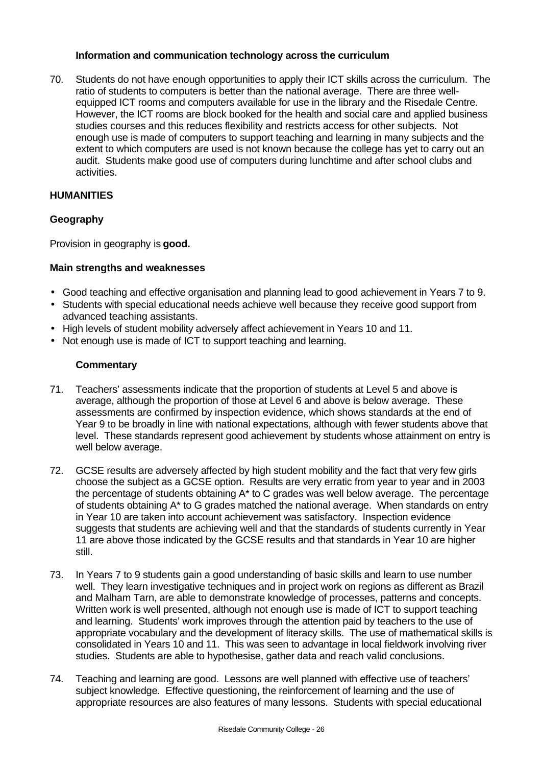### **Information and communication technology across the curriculum**

70. Students do not have enough opportunities to apply their ICT skills across the curriculum. The ratio of students to computers is better than the national average. There are three wellequipped ICT rooms and computers available for use in the library and the Risedale Centre. However, the ICT rooms are block booked for the health and social care and applied business studies courses and this reduces flexibility and restricts access for other subjects. Not enough use is made of computers to support teaching and learning in many subjects and the extent to which computers are used is not known because the college has yet to carry out an audit. Students make good use of computers during lunchtime and after school clubs and activities.

## **HUMANITIES**

## **Geography**

Provision in geography is **good.**

### **Main strengths and weaknesses**

- Good teaching and effective organisation and planning lead to good achievement in Years 7 to 9.
- Students with special educational needs achieve well because they receive good support from advanced teaching assistants.
- High levels of student mobility adversely affect achievement in Years 10 and 11.
- Not enough use is made of ICT to support teaching and learning.

- 71. Teachers' assessments indicate that the proportion of students at Level 5 and above is average, although the proportion of those at Level 6 and above is below average. These assessments are confirmed by inspection evidence, which shows standards at the end of Year 9 to be broadly in line with national expectations, although with fewer students above that level. These standards represent good achievement by students whose attainment on entry is well below average.
- 72. GCSE results are adversely affected by high student mobility and the fact that very few girls choose the subject as a GCSE option. Results are very erratic from year to year and in 2003 the percentage of students obtaining A\* to C grades was well below average. The percentage of students obtaining A\* to G grades matched the national average. When standards on entry in Year 10 are taken into account achievement was satisfactory. Inspection evidence suggests that students are achieving well and that the standards of students currently in Year 11 are above those indicated by the GCSE results and that standards in Year 10 are higher still.
- 73. In Years 7 to 9 students gain a good understanding of basic skills and learn to use number well. They learn investigative techniques and in project work on regions as different as Brazil and Malham Tarn, are able to demonstrate knowledge of processes, patterns and concepts. Written work is well presented, although not enough use is made of ICT to support teaching and learning. Students' work improves through the attention paid by teachers to the use of appropriate vocabulary and the development of literacy skills. The use of mathematical skills is consolidated in Years 10 and 11. This was seen to advantage in local fieldwork involving river studies. Students are able to hypothesise, gather data and reach valid conclusions.
- 74. Teaching and learning are good. Lessons are well planned with effective use of teachers' subject knowledge. Effective questioning, the reinforcement of learning and the use of appropriate resources are also features of many lessons. Students with special educational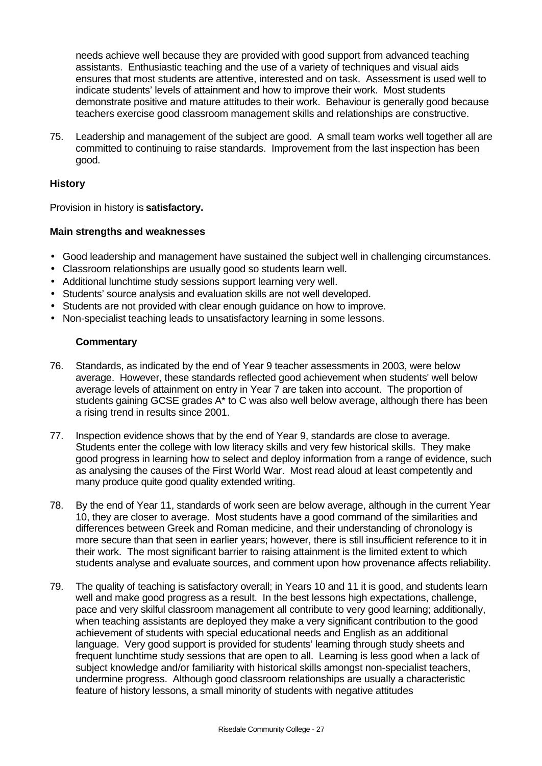needs achieve well because they are provided with good support from advanced teaching assistants. Enthusiastic teaching and the use of a variety of techniques and visual aids ensures that most students are attentive, interested and on task. Assessment is used well to indicate students' levels of attainment and how to improve their work. Most students demonstrate positive and mature attitudes to their work. Behaviour is generally good because teachers exercise good classroom management skills and relationships are constructive.

75. Leadership and management of the subject are good. A small team works well together all are committed to continuing to raise standards. Improvement from the last inspection has been good.

## **History**

Provision in history is **satisfactory.**

#### **Main strengths and weaknesses**

- Good leadership and management have sustained the subject well in challenging circumstances.
- Classroom relationships are usually good so students learn well.
- Additional lunchtime study sessions support learning very well.
- Students' source analysis and evaluation skills are not well developed.
- Students are not provided with clear enough guidance on how to improve.
- Non-specialist teaching leads to unsatisfactory learning in some lessons.

- 76. Standards, as indicated by the end of Year 9 teacher assessments in 2003, were below average. However, these standards reflected good achievement when students' well below average levels of attainment on entry in Year 7 are taken into account. The proportion of students gaining GCSE grades A\* to C was also well below average, although there has been a rising trend in results since 2001.
- 77. Inspection evidence shows that by the end of Year 9, standards are close to average. Students enter the college with low literacy skills and very few historical skills. They make good progress in learning how to select and deploy information from a range of evidence, such as analysing the causes of the First World War. Most read aloud at least competently and many produce quite good quality extended writing.
- 78. By the end of Year 11, standards of work seen are below average, although in the current Year 10, they are closer to average. Most students have a good command of the similarities and differences between Greek and Roman medicine, and their understanding of chronology is more secure than that seen in earlier years; however, there is still insufficient reference to it in their work. The most significant barrier to raising attainment is the limited extent to which students analyse and evaluate sources, and comment upon how provenance affects reliability.
- 79. The quality of teaching is satisfactory overall; in Years 10 and 11 it is good, and students learn well and make good progress as a result. In the best lessons high expectations, challenge, pace and very skilful classroom management all contribute to very good learning; additionally, when teaching assistants are deployed they make a very significant contribution to the good achievement of students with special educational needs and English as an additional language. Very good support is provided for students' learning through study sheets and frequent lunchtime study sessions that are open to all. Learning is less good when a lack of subject knowledge and/or familiarity with historical skills amongst non-specialist teachers, undermine progress. Although good classroom relationships are usually a characteristic feature of history lessons, a small minority of students with negative attitudes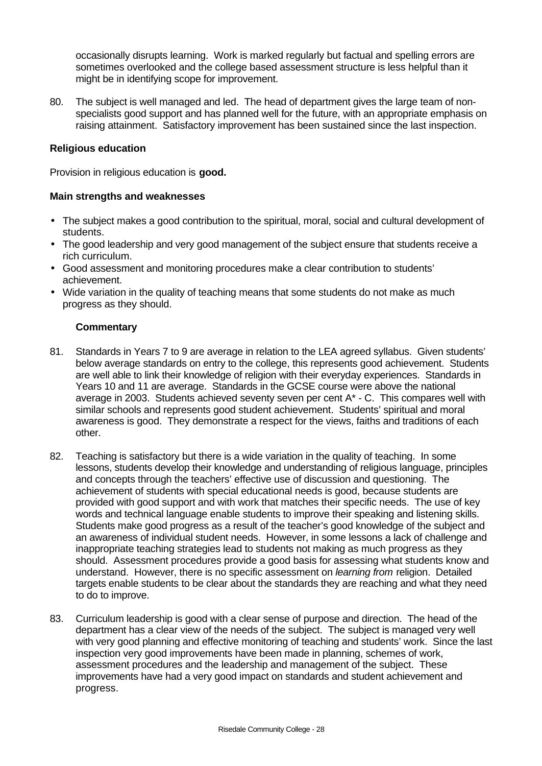occasionally disrupts learning. Work is marked regularly but factual and spelling errors are sometimes overlooked and the college based assessment structure is less helpful than it might be in identifying scope for improvement.

80. The subject is well managed and led. The head of department gives the large team of nonspecialists good support and has planned well for the future, with an appropriate emphasis on raising attainment. Satisfactory improvement has been sustained since the last inspection.

#### **Religious education**

Provision in religious education is **good.**

#### **Main strengths and weaknesses**

- The subject makes a good contribution to the spiritual, moral, social and cultural development of students.
- The good leadership and very good management of the subject ensure that students receive a rich curriculum.
- Good assessment and monitoring procedures make a clear contribution to students' achievement.
- Wide variation in the quality of teaching means that some students do not make as much progress as they should.

- 81. Standards in Years 7 to 9 are average in relation to the LEA agreed syllabus. Given students' below average standards on entry to the college, this represents good achievement. Students are well able to link their knowledge of religion with their everyday experiences. Standards in Years 10 and 11 are average. Standards in the GCSE course were above the national average in 2003. Students achieved seventy seven per cent  $A^*$  - C. This compares well with similar schools and represents good student achievement. Students' spiritual and moral awareness is good. They demonstrate a respect for the views, faiths and traditions of each other.
- 82. Teaching is satisfactory but there is a wide variation in the quality of teaching. In some lessons, students develop their knowledge and understanding of religious language, principles and concepts through the teachers' effective use of discussion and questioning. The achievement of students with special educational needs is good, because students are provided with good support and with work that matches their specific needs. The use of key words and technical language enable students to improve their speaking and listening skills. Students make good progress as a result of the teacher's good knowledge of the subject and an awareness of individual student needs. However, in some lessons a lack of challenge and inappropriate teaching strategies lead to students not making as much progress as they should. Assessment procedures provide a good basis for assessing what students know and understand. However, there is no specific assessment on *learning from* religion. Detailed targets enable students to be clear about the standards they are reaching and what they need to do to improve.
- 83. Curriculum leadership is good with a clear sense of purpose and direction. The head of the department has a clear view of the needs of the subject. The subject is managed very well with very good planning and effective monitoring of teaching and students' work. Since the last inspection very good improvements have been made in planning, schemes of work, assessment procedures and the leadership and management of the subject. These improvements have had a very good impact on standards and student achievement and progress.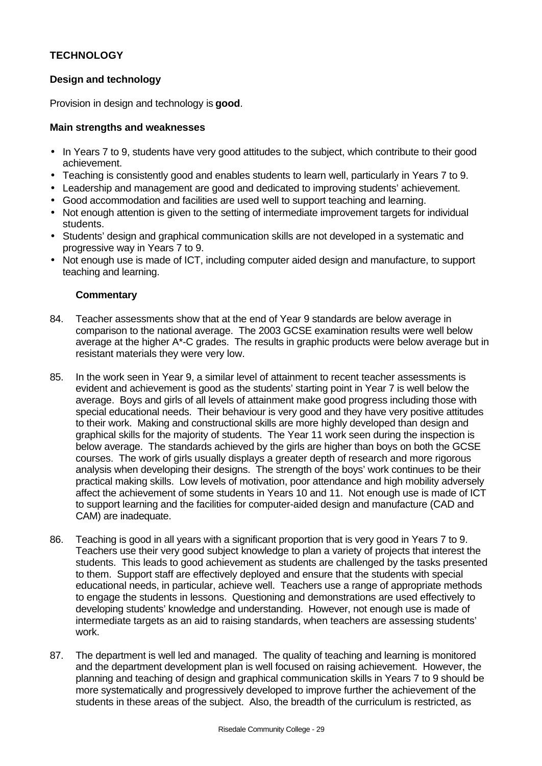## **TECHNOLOGY**

## **Design and technology**

Provision in design and technology is **good**.

## **Main strengths and weaknesses**

- In Years 7 to 9, students have very good attitudes to the subject, which contribute to their good achievement.
- Teaching is consistently good and enables students to learn well, particularly in Years 7 to 9.
- Leadership and management are good and dedicated to improving students' achievement.
- Good accommodation and facilities are used well to support teaching and learning.
- Not enough attention is given to the setting of intermediate improvement targets for individual students.
- Students' design and graphical communication skills are not developed in a systematic and progressive way in Years 7 to 9.
- Not enough use is made of ICT, including computer aided design and manufacture, to support teaching and learning.

- 84. Teacher assessments show that at the end of Year 9 standards are below average in comparison to the national average. The 2003 GCSE examination results were well below average at the higher A\*-C grades. The results in graphic products were below average but in resistant materials they were very low.
- 85. In the work seen in Year 9, a similar level of attainment to recent teacher assessments is evident and achievement is good as the students' starting point in Year 7 is well below the average. Boys and girls of all levels of attainment make good progress including those with special educational needs. Their behaviour is very good and they have very positive attitudes to their work. Making and constructional skills are more highly developed than design and graphical skills for the majority of students. The Year 11 work seen during the inspection is below average. The standards achieved by the girls are higher than boys on both the GCSE courses. The work of girls usually displays a greater depth of research and more rigorous analysis when developing their designs. The strength of the boys' work continues to be their practical making skills. Low levels of motivation, poor attendance and high mobility adversely affect the achievement of some students in Years 10 and 11. Not enough use is made of ICT to support learning and the facilities for computer-aided design and manufacture (CAD and CAM) are inadequate.
- 86. Teaching is good in all years with a significant proportion that is very good in Years 7 to 9. Teachers use their very good subject knowledge to plan a variety of projects that interest the students. This leads to good achievement as students are challenged by the tasks presented to them. Support staff are effectively deployed and ensure that the students with special educational needs, in particular, achieve well. Teachers use a range of appropriate methods to engage the students in lessons. Questioning and demonstrations are used effectively to developing students' knowledge and understanding. However, not enough use is made of intermediate targets as an aid to raising standards, when teachers are assessing students' work.
- 87. The department is well led and managed. The quality of teaching and learning is monitored and the department development plan is well focused on raising achievement. However, the planning and teaching of design and graphical communication skills in Years 7 to 9 should be more systematically and progressively developed to improve further the achievement of the students in these areas of the subject. Also, the breadth of the curriculum is restricted, as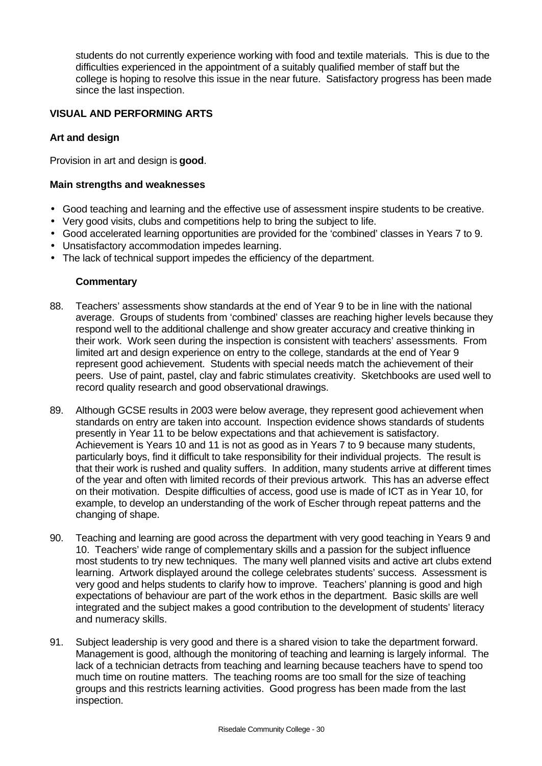students do not currently experience working with food and textile materials. This is due to the difficulties experienced in the appointment of a suitably qualified member of staff but the college is hoping to resolve this issue in the near future. Satisfactory progress has been made since the last inspection.

## **VISUAL AND PERFORMING ARTS**

## **Art and design**

Provision in art and design is **good**.

## **Main strengths and weaknesses**

- Good teaching and learning and the effective use of assessment inspire students to be creative.
- Very good visits, clubs and competitions help to bring the subject to life.
- Good accelerated learning opportunities are provided for the 'combined' classes in Years 7 to 9.
- Unsatisfactory accommodation impedes learning.
- The lack of technical support impedes the efficiency of the department.

- 88. Teachers' assessments show standards at the end of Year 9 to be in line with the national average. Groups of students from 'combined' classes are reaching higher levels because they respond well to the additional challenge and show greater accuracy and creative thinking in their work. Work seen during the inspection is consistent with teachers' assessments. From limited art and design experience on entry to the college, standards at the end of Year 9 represent good achievement. Students with special needs match the achievement of their peers. Use of paint, pastel, clay and fabric stimulates creativity. Sketchbooks are used well to record quality research and good observational drawings.
- 89. Although GCSE results in 2003 were below average, they represent good achievement when standards on entry are taken into account. Inspection evidence shows standards of students presently in Year 11 to be below expectations and that achievement is satisfactory. Achievement is Years 10 and 11 is not as good as in Years 7 to 9 because many students, particularly boys, find it difficult to take responsibility for their individual projects. The result is that their work is rushed and quality suffers. In addition, many students arrive at different times of the year and often with limited records of their previous artwork. This has an adverse effect on their motivation. Despite difficulties of access, good use is made of ICT as in Year 10, for example, to develop an understanding of the work of Escher through repeat patterns and the changing of shape.
- 90. Teaching and learning are good across the department with very good teaching in Years 9 and 10. Teachers' wide range of complementary skills and a passion for the subject influence most students to try new techniques. The many well planned visits and active art clubs extend learning. Artwork displayed around the college celebrates students' success. Assessment is very good and helps students to clarify how to improve. Teachers' planning is good and high expectations of behaviour are part of the work ethos in the department. Basic skills are well integrated and the subject makes a good contribution to the development of students' literacy and numeracy skills.
- 91. Subject leadership is very good and there is a shared vision to take the department forward. Management is good, although the monitoring of teaching and learning is largely informal. The lack of a technician detracts from teaching and learning because teachers have to spend too much time on routine matters. The teaching rooms are too small for the size of teaching groups and this restricts learning activities. Good progress has been made from the last inspection.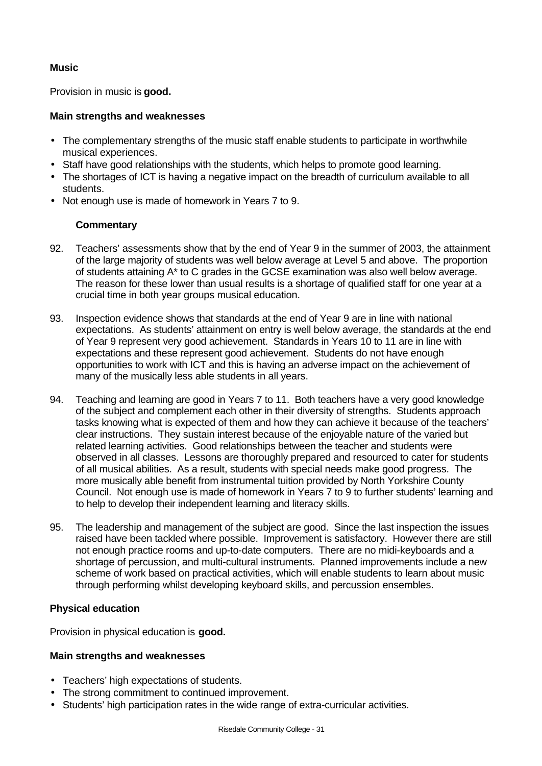## **Music**

Provision in music is **good.**

## **Main strengths and weaknesses**

- The complementary strengths of the music staff enable students to participate in worthwhile musical experiences.
- Staff have good relationships with the students, which helps to promote good learning.
- The shortages of ICT is having a negative impact on the breadth of curriculum available to all students.
- Not enough use is made of homework in Years 7 to 9.

## **Commentary**

- 92. Teachers' assessments show that by the end of Year 9 in the summer of 2003, the attainment of the large majority of students was well below average at Level 5 and above. The proportion of students attaining A\* to C grades in the GCSE examination was also well below average. The reason for these lower than usual results is a shortage of qualified staff for one year at a crucial time in both year groups musical education.
- 93. Inspection evidence shows that standards at the end of Year 9 are in line with national expectations. As students' attainment on entry is well below average, the standards at the end of Year 9 represent very good achievement. Standards in Years 10 to 11 are in line with expectations and these represent good achievement. Students do not have enough opportunities to work with ICT and this is having an adverse impact on the achievement of many of the musically less able students in all years.
- 94. Teaching and learning are good in Years 7 to 11. Both teachers have a very good knowledge of the subject and complement each other in their diversity of strengths. Students approach tasks knowing what is expected of them and how they can achieve it because of the teachers' clear instructions. They sustain interest because of the enjoyable nature of the varied but related learning activities. Good relationships between the teacher and students were observed in all classes. Lessons are thoroughly prepared and resourced to cater for students of all musical abilities. As a result, students with special needs make good progress. The more musically able benefit from instrumental tuition provided by North Yorkshire County Council. Not enough use is made of homework in Years 7 to 9 to further students' learning and to help to develop their independent learning and literacy skills.
- 95. The leadership and management of the subject are good. Since the last inspection the issues raised have been tackled where possible. Improvement is satisfactory. However there are still not enough practice rooms and up-to-date computers. There are no midi-keyboards and a shortage of percussion, and multi-cultural instruments. Planned improvements include a new scheme of work based on practical activities, which will enable students to learn about music through performing whilst developing keyboard skills, and percussion ensembles.

### **Physical education**

Provision in physical education is **good.**

### **Main strengths and weaknesses**

- Teachers' high expectations of students.
- The strong commitment to continued improvement.
- Students' high participation rates in the wide range of extra-curricular activities.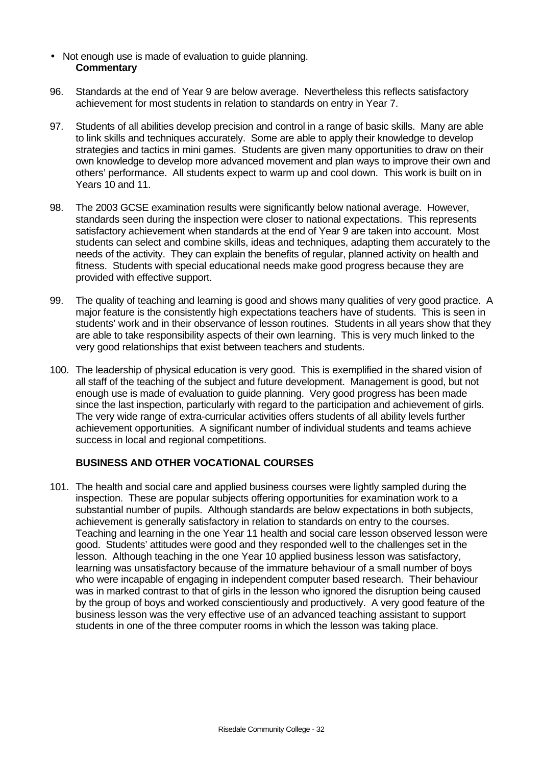- Not enough use is made of evaluation to guide planning. **Commentary**
- 96. Standards at the end of Year 9 are below average. Nevertheless this reflects satisfactory achievement for most students in relation to standards on entry in Year 7.
- 97. Students of all abilities develop precision and control in a range of basic skills. Many are able to link skills and techniques accurately. Some are able to apply their knowledge to develop strategies and tactics in mini games. Students are given many opportunities to draw on their own knowledge to develop more advanced movement and plan ways to improve their own and others' performance. All students expect to warm up and cool down. This work is built on in Years 10 and 11.
- 98. The 2003 GCSE examination results were significantly below national average. However, standards seen during the inspection were closer to national expectations. This represents satisfactory achievement when standards at the end of Year 9 are taken into account. Most students can select and combine skills, ideas and techniques, adapting them accurately to the needs of the activity. They can explain the benefits of regular, planned activity on health and fitness. Students with special educational needs make good progress because they are provided with effective support.
- 99. The quality of teaching and learning is good and shows many qualities of very good practice. A major feature is the consistently high expectations teachers have of students. This is seen in students' work and in their observance of lesson routines. Students in all years show that they are able to take responsibility aspects of their own learning. This is very much linked to the very good relationships that exist between teachers and students.
- 100. The leadership of physical education is very good. This is exemplified in the shared vision of all staff of the teaching of the subject and future development. Management is good, but not enough use is made of evaluation to guide planning. Very good progress has been made since the last inspection, particularly with regard to the participation and achievement of girls. The very wide range of extra-curricular activities offers students of all ability levels further achievement opportunities. A significant number of individual students and teams achieve success in local and regional competitions.

### **BUSINESS AND OTHER VOCATIONAL COURSES**

101. The health and social care and applied business courses were lightly sampled during the inspection. These are popular subjects offering opportunities for examination work to a substantial number of pupils. Although standards are below expectations in both subjects, achievement is generally satisfactory in relation to standards on entry to the courses. Teaching and learning in the one Year 11 health and social care lesson observed lesson were good. Students' attitudes were good and they responded well to the challenges set in the lesson. Although teaching in the one Year 10 applied business lesson was satisfactory, learning was unsatisfactory because of the immature behaviour of a small number of boys who were incapable of engaging in independent computer based research. Their behaviour was in marked contrast to that of girls in the lesson who ignored the disruption being caused by the group of boys and worked conscientiously and productively. A very good feature of the business lesson was the very effective use of an advanced teaching assistant to support students in one of the three computer rooms in which the lesson was taking place.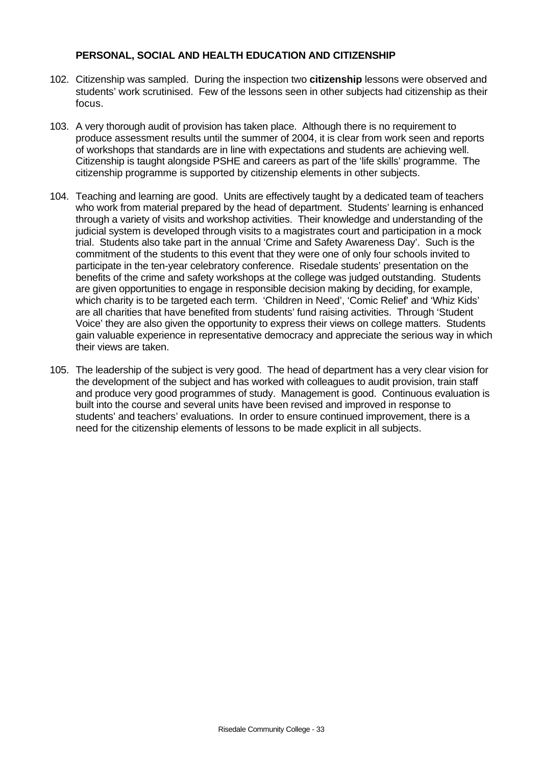### **PERSONAL, SOCIAL AND HEALTH EDUCATION AND CITIZENSHIP**

- 102. Citizenship was sampled. During the inspection two **citizenship** lessons were observed and students' work scrutinised. Few of the lessons seen in other subjects had citizenship as their focus.
- 103. A very thorough audit of provision has taken place. Although there is no requirement to produce assessment results until the summer of 2004, it is clear from work seen and reports of workshops that standards are in line with expectations and students are achieving well. Citizenship is taught alongside PSHE and careers as part of the 'life skills' programme. The citizenship programme is supported by citizenship elements in other subjects.
- 104. Teaching and learning are good. Units are effectively taught by a dedicated team of teachers who work from material prepared by the head of department. Students' learning is enhanced through a variety of visits and workshop activities. Their knowledge and understanding of the judicial system is developed through visits to a magistrates court and participation in a mock trial. Students also take part in the annual 'Crime and Safety Awareness Day'. Such is the commitment of the students to this event that they were one of only four schools invited to participate in the ten-year celebratory conference. Risedale students' presentation on the benefits of the crime and safety workshops at the college was judged outstanding. Students are given opportunities to engage in responsible decision making by deciding, for example, which charity is to be targeted each term. 'Children in Need', 'Comic Relief' and 'Whiz Kids' are all charities that have benefited from students' fund raising activities. Through 'Student Voice' they are also given the opportunity to express their views on college matters. Students gain valuable experience in representative democracy and appreciate the serious way in which their views are taken.
- 105. The leadership of the subject is very good. The head of department has a very clear vision for the development of the subject and has worked with colleagues to audit provision, train staff and produce very good programmes of study. Management is good. Continuous evaluation is built into the course and several units have been revised and improved in response to students' and teachers' evaluations. In order to ensure continued improvement, there is a need for the citizenship elements of lessons to be made explicit in all subjects.